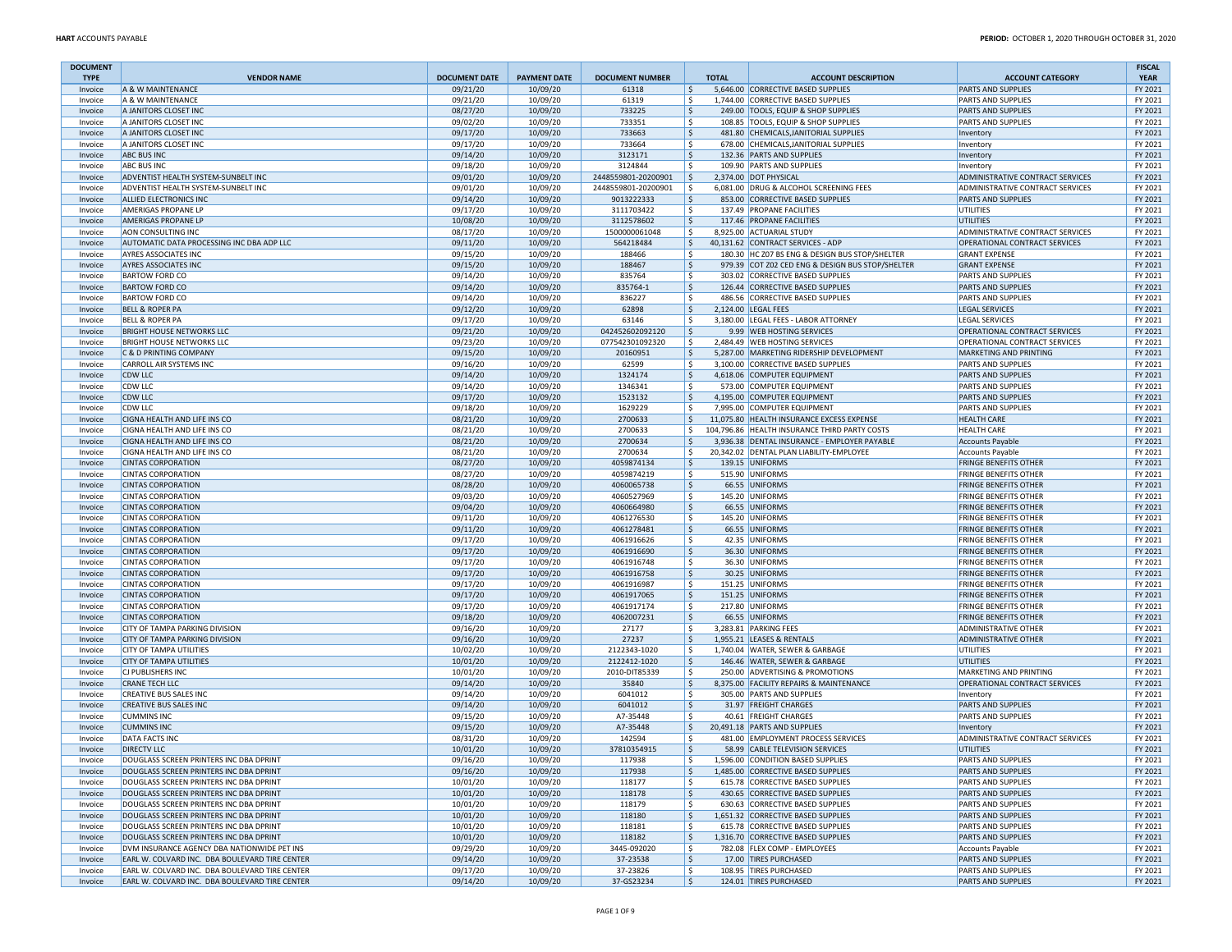| <b>DOCUMENT</b>    |                                                                                                  |                      |                      |                            |             |              |                                                                           |                                                                   | <b>FISCAL</b>      |
|--------------------|--------------------------------------------------------------------------------------------------|----------------------|----------------------|----------------------------|-------------|--------------|---------------------------------------------------------------------------|-------------------------------------------------------------------|--------------------|
| <b>TYPE</b>        | <b>VENDOR NAME</b>                                                                               | <b>DOCUMENT DATE</b> | <b>PAYMENT DATE</b>  | <b>DOCUMENT NUMBER</b>     |             | <b>TOTAL</b> | <b>ACCOUNT DESCRIPTION</b>                                                | <b>ACCOUNT CATEGORY</b>                                           | <b>YEAR</b>        |
| Invoice            | A & W MAINTENANCE                                                                                | 09/21/20             | 10/09/20             | 61318                      | l\$         |              | 5,646.00 CORRECTIVE BASED SUPPLIES                                        | <b>PARTS AND SUPPLIES</b>                                         | FY 2021            |
| Invoice            | A & W MAINTENANCE<br>A JANITORS CLOSET INC                                                       | 09/21/20<br>08/27/20 | 10/09/20<br>10/09/20 | 61319<br>733225            | \$<br>S,    |              | 1,744.00 CORRECTIVE BASED SUPPLIES<br>249.00 TOOLS, EQUIP & SHOP SUPPLIES | <b>PARTS AND SUPPLIES</b>                                         | FY 2021<br>FY 2021 |
| Invoice<br>Invoice | A JANITORS CLOSET INC                                                                            | 09/02/20             | 10/09/20             | 733351                     | l \$        |              | 108.85 TOOLS, EQUIP & SHOP SUPPLIES                                       | <b>PARTS AND SUPPLIES</b><br><b>PARTS AND SUPPLIES</b>            | FY 2021            |
| Invoice            | A JANITORS CLOSET INC                                                                            | 09/17/20             | 10/09/20             | 733663                     | l \$        |              | 481.80 CHEMICALS, JANITORIAL SUPPLIES                                     | Inventory                                                         | FY 2021            |
| Invoice            | A JANITORS CLOSET INC                                                                            | 09/17/20             | 10/09/20             | 733664                     | -\$         |              | 678.00 CHEMICALS, JANITORIAL SUPPLIES                                     | Inventory                                                         | FY 2021            |
| Invoice            | ABC BUS INC                                                                                      | 09/14/20             | 10/09/20             | 3123171                    | \$          |              | 132.36 PARTS AND SUPPLIES                                                 | Inventory                                                         | FY 2021            |
| Invoice            | ABC BUS INC                                                                                      | 09/18/20             | 10/09/20             | 3124844                    | \$          |              | 109.90 PARTS AND SUPPLIES                                                 | Inventory                                                         | FY 2021            |
| Invoice            | ADVENTIST HEALTH SYSTEM-SUNBELT INC                                                              | 09/01/20             | 10/09/20             | 2448559801-20200901        | I\$         |              | 2,374.00 DOT PHYSICAL                                                     | ADMINISTRATIVE CONTRACT SERVICES                                  | FY 2021            |
| Invoice            | ADVENTIST HEALTH SYSTEM-SUNBELT INC                                                              | 09/01/20             | 10/09/20             | 2448559801-20200901        | ١\$         |              | 6,081.00 DRUG & ALCOHOL SCREENING FEES                                    | ADMINISTRATIVE CONTRACT SERVICES                                  | FY 2021            |
| Invoice            | ALLIED ELECTRONICS INC                                                                           | 09/14/20             | 10/09/20             | 9013222333                 | S,          |              | 853.00 CORRECTIVE BASED SUPPLIES                                          | PARTS AND SUPPLIES                                                | FY 2021            |
| Invoice            | AMERIGAS PROPANE LP                                                                              | 09/17/20             | 10/09/20             | 3111703422                 | ۱\$.        |              | 137.49 PROPANE FACILITIES                                                 | UTILITIES                                                         | FY 2021            |
| Invoice            | AMERIGAS PROPANE LP                                                                              | 10/08/20             | 10/09/20             | 3112578602                 | l\$.        |              | 117.46 PROPANE FACILITIES                                                 | UTILITIES                                                         | FY 2021            |
| Invoice<br>Invoice | AON CONSULTING INC<br>AUTOMATIC DATA PROCESSING INC DBA ADP LLC                                  | 08/17/20<br>09/11/20 | 10/09/20<br>10/09/20 | 1500000061048<br>564218484 | \$<br>l \$  |              | 8,925.00 ACTUARIAL STUDY<br>40,131.62 CONTRACT SERVICES - ADP             | ADMINISTRATIVE CONTRACT SERVICES<br>OPERATIONAL CONTRACT SERVICES | FY 2021<br>FY 2021 |
| Invoice            | AYRES ASSOCIATES INC                                                                             | 09/15/20             | 10/09/20             | 188466                     | -\$         |              | 180.30 HC Z07 BS ENG & DESIGN BUS STOP/SHELTER                            | <b>GRANT EXPENSE</b>                                              | FY 2021            |
| Invoice            | <b>AYRES ASSOCIATES INC</b>                                                                      | 09/15/20             | 10/09/20             | 188467                     | ١\$         |              | 979.39 COT Z02 CED ENG & DESIGN BUS STOP/SHELTER                          | <b>GRANT EXPENSE</b>                                              | FY 2021            |
| Invoice            | BARTOW FORD CO                                                                                   | 09/14/20             | 10/09/20             | 835764                     | \$          |              | 303.02 CORRECTIVE BASED SUPPLIES                                          | PARTS AND SUPPLIES                                                | FY 2021            |
| Invoice            | <b>BARTOW FORD CO</b>                                                                            | 09/14/20             | 10/09/20             | 835764-1                   | l\$.        |              | 126.44 CORRECTIVE BASED SUPPLIES                                          | <b>PARTS AND SUPPLIES</b>                                         | FY 2021            |
| Invoice            | <b>BARTOW FORD CO</b>                                                                            | 09/14/20             | 10/09/20             | 836227                     | \$          |              | 486.56 CORRECTIVE BASED SUPPLIES                                          | <b>PARTS AND SUPPLIES</b>                                         | FY 2021            |
| Invoice            | <b>BELL &amp; ROPER PA</b>                                                                       | 09/12/20             | 10/09/20             | 62898                      | l\$.        |              | 2,124.00 LEGAL FEES                                                       | <b>LEGAL SERVICES</b>                                             | FY 2021            |
| Invoice            | <b>BELL &amp; ROPER PA</b>                                                                       | 09/17/20             | 10/09/20             | 63146                      | \$          |              | 3,180.00 LEGAL FEES - LABOR ATTORNEY                                      | <b>LEGAL SERVICES</b>                                             | FY 2021            |
| Invoice            | <b>BRIGHT HOUSE NETWORKS LLC</b>                                                                 | 09/21/20             | 10/09/20             | 042452602092120            | S,          |              | 9.99 WEB HOSTING SERVICES                                                 | OPERATIONAL CONTRACT SERVICES                                     | FY 2021            |
| Invoice            | BRIGHT HOUSE NETWORKS LLC                                                                        | 09/23/20             | 10/09/20             | 077542301092320            | \$          |              | 2,484.49 WEB HOSTING SERVICES                                             | OPERATIONAL CONTRACT SERVICES                                     | FY 2021            |
| Invoice            | C & D PRINTING COMPANY                                                                           | 09/15/20             | 10/09/20             | 20160951                   | l\$.        |              | 5,287.00 MARKETING RIDERSHIP DEVELOPMENT                                  | <b>MARKETING AND PRINTING</b>                                     | FY 2021            |
| Invoice            | CARROLL AIR SYSTEMS INC                                                                          | 09/16/20             | 10/09/20             | 62599                      | S.          |              | 3,100.00 CORRECTIVE BASED SUPPLIES                                        | PARTS AND SUPPLIES                                                | FY 2021            |
| Invoice            | CDW LLC<br>CDW LLC                                                                               | 09/14/20<br>09/14/20 | 10/09/20<br>10/09/20 | 1324174<br>1346341         | -S<br>-\$   |              | 4,618.06 COMPUTER EQUIPMENT<br>573.00 COMPUTER EQUIPMENT                  | <b>PARTS AND SUPPLIES</b><br><b>PARTS AND SUPPLIES</b>            | FY 2021<br>FY 2021 |
| Invoice<br>Invoice | CDW LLC                                                                                          | 09/17/20             | 10/09/20             | 1523132                    | l\$.        |              | 4.195.00 COMPUTER EQUIPMENT                                               | <b>PARTS AND SUPPLIES</b>                                         | FY 2021            |
| Invoice            | <b>CDW LLC</b>                                                                                   | 09/18/20             | 10/09/20             | 1629229                    | \$.         |              | 7,995.00 COMPUTER EQUIPMENT                                               | <b>PARTS AND SUPPLIES</b>                                         | FY 2021            |
| Invoice            | CIGNA HEALTH AND LIFE INS CO                                                                     | 08/21/20             | 10/09/20             | 2700633                    | l\$.        |              | 11,075.80 HEALTH INSURANCE EXCESS EXPENSE                                 | <b>HEALTH CARE</b>                                                | FY 2021            |
| Invoice            | CIGNA HEALTH AND LIFE INS CO                                                                     | 08/21/20             | 10/09/20             | 2700633                    | \$          |              | 104,796.86 HEALTH INSURANCE THIRD PARTY COSTS                             | <b>HEALTH CARE</b>                                                | FY 2021            |
| Invoice            | CIGNA HEALTH AND LIFE INS CO                                                                     | 08/21/20             | 10/09/20             | 2700634                    | S.          |              | 3,936.38 DENTAL INSURANCE - EMPLOYER PAYABLE                              | <b>Accounts Payable</b>                                           | FY 2021            |
| Invoice            | CIGNA HEALTH AND LIFE INS CO                                                                     | 08/21/20             | 10/09/20             | 2700634                    | ۱\$.        |              | 20,342.02 DENTAL PLAN LIABILITY-EMPLOYEE                                  | <b>Accounts Payable</b>                                           | FY 2021            |
| Invoice            | <b>CINTAS CORPORATION</b>                                                                        | 08/27/20             | 10/09/20             | 4059874134                 | S,          |              | 139.15 UNIFORMS                                                           | <b>FRINGE BENEFITS OTHER</b>                                      | FY 2021            |
| Invoice            | CINTAS CORPORATION                                                                               | 08/27/20             | 10/09/20             | 4059874219                 | \$          |              | 515.90 UNIFORMS                                                           | <b>FRINGE BENEFITS OTHER</b>                                      | FY 2021            |
| Invoice            | <b>CINTAS CORPORATION</b>                                                                        | 08/28/20             | 10/09/20             | 4060065738                 | ۱\$.        |              | 66.55 UNIFORMS                                                            | <b>FRINGE BENEFITS OTHER</b>                                      | FY 2021            |
| Invoice            | <b>CINTAS CORPORATION</b><br><b>CINTAS CORPORATION</b>                                           | 09/03/20<br>09/04/20 | 10/09/20<br>10/09/20 | 4060527969<br>4060664980   | \$          |              | 145.20 UNIFORMS<br>66.55 UNIFORMS                                         | <b>FRINGE BENEFITS OTHER</b><br><b>FRINGE BENEFITS OTHER</b>      | FY 2021<br>FY 2021 |
| Invoice<br>Invoice | <b>CINTAS CORPORATION</b>                                                                        | 09/11/20             | 10/09/20             | 4061276530                 | \$<br>l\$   |              | 145.20 UNIFORMS                                                           | <b>FRINGE BENEFITS OTHER</b>                                      | FY 2021            |
| Invoice            | <b>CINTAS CORPORATION</b>                                                                        | 09/11/20             | 10/09/20             | 4061278481                 | \$          |              | 66.55 UNIFORMS                                                            | <b>FRINGE BENEFITS OTHER</b>                                      | FY 2021            |
| Invoice            | <b>CINTAS CORPORATION</b>                                                                        | 09/17/20             | 10/09/20             | 4061916626                 | \$          |              | 42.35 UNIFORMS                                                            | <b>FRINGE BENEFITS OTHER</b>                                      | FY 2021            |
| Invoice            | <b>CINTAS CORPORATION</b>                                                                        | 09/17/20             | 10/09/20             | 4061916690                 | l\$.        |              | 36.30 UNIFORMS                                                            | <b>FRINGE BENEFITS OTHER</b>                                      | FY 2021            |
| Invoice            | <b>CINTAS CORPORATION</b>                                                                        | 09/17/20             | 10/09/20             | 4061916748                 | -\$         |              | 36.30 UNIFORMS                                                            | <b>FRINGE BENEFITS OTHER</b>                                      | FY 2021            |
| Invoice            | <b>CINTAS CORPORATION</b>                                                                        | 09/17/20             | 10/09/20             | 4061916758                 | l\$.        |              | 30.25 UNIFORMS                                                            | <b>FRINGE BENEFITS OTHER</b>                                      | FY 2021            |
| Invoice            | <b>CINTAS CORPORATION</b>                                                                        | 09/17/20             | 10/09/20             | 4061916987                 | \$          |              | 151.25 UNIFORMS                                                           | <b>FRINGE BENEFITS OTHER</b>                                      | FY 2021            |
| Invoice            | <b>CINTAS CORPORATION</b>                                                                        | 09/17/20             | 10/09/20             | 4061917065                 | \$          |              | 151.25 UNIFORMS                                                           | <b>FRINGE BENEFITS OTHER</b>                                      | FY 2021            |
| Invoice            | <b>CINTAS CORPORATION</b>                                                                        | 09/17/20             | 10/09/20             | 4061917174                 | ۱\$.        |              | 217.80 UNIFORMS                                                           | <b>FRINGE BENEFITS OTHER</b>                                      | FY 2021            |
| Invoice            | <b>CINTAS CORPORATION</b><br>CITY OF TAMPA PARKING DIVISION                                      | 09/18/20<br>09/16/20 | 10/09/20<br>10/09/20 | 4062007231<br>27177        | \$<br>\$    |              | 66.55 UNIFORMS<br>3,283.81 PARKING FEES                                   | <b>FRINGE BENEFITS OTHER</b><br><b>ADMINISTRATIVE OTHER</b>       | FY 2021<br>FY 2021 |
| Invoice<br>Invoice | <b>CITY OF TAMPA PARKING DIVISION</b>                                                            | 09/16/20             | 10/09/20             | 27237                      | S,          |              | 1,955.21 LEASES & RENTALS                                                 | <b>ADMINISTRATIVE OTHER</b>                                       | FY 2021            |
| Invoice            | CITY OF TAMPA UTILITIES                                                                          | 10/02/20             | 10/09/20             | 2122343-1020               | \$          |              | 1,740.04 WATER, SEWER & GARBAGE                                           | UTILITIES                                                         | FY 2021            |
| Invoice            | <b>CITY OF TAMPA UTILITIES</b>                                                                   | 10/01/20             | 10/09/20             | 2122412-1020               | $\zeta$     |              | 146.46 WATER, SEWER & GARBAGE                                             | <b>UTILITIES</b>                                                  | FY 2021            |
| Invoice            | CJ PUBLISHERS INC                                                                                | 10/01/20             | 10/09/20             | 2010-DIT85339              | ۱\$.        |              | 250.00 ADVERTISING & PROMOTIONS                                           | MARKETING AND PRINTING                                            | FY 2021            |
| Invoice            | <b>CRANE TECH LLC</b>                                                                            | 09/14/20             | 10/09/20             | 35840                      | \$          |              | 8,375.00 FACILITY REPAIRS & MAINTENANCE                                   | OPERATIONAL CONTRACT SERVICES                                     | FY 2021            |
| Invoice            | <b>CREATIVE BUS SALES INC</b>                                                                    | 09/14/20             | 10/09/20             | 6041012                    | \$          |              | 305.00 PARTS AND SUPPLIES                                                 | Inventory                                                         | FY 2021            |
| Invoice            | <b>CREATIVE BUS SALES INC</b>                                                                    | 09/14/20             | 10/09/20             | 6041012                    | \$          |              | 31.97 FREIGHT CHARGES                                                     | PARTS AND SUPPLIES                                                | FY 2021            |
| Invoice            | <b>CUMMINS INC</b>                                                                               | 09/15/20             | 10/09/20             | A7-35448                   | \$          |              | 40.61 FREIGHT CHARGES                                                     | PARTS AND SUPPLIES                                                | FY 2021            |
| Invoice            | <b>CUMMINS INC</b>                                                                               | 09/15/20             | 10/09/20             | A7-35448                   | ۱\$.        |              | 20,491.18 PARTS AND SUPPLIES                                              | Inventory                                                         | FY 2021            |
| Invoice<br>Invoice | DATA FACTS INC<br><b>DIRECTV LLC</b>                                                             | 08/31/20<br>10/01/20 | 10/09/20<br>10/09/20 | 142594<br>37810354915      | Ś<br>\$     |              | 481.00 EMPLOYMENT PROCESS SERVICES<br>58.99 CABLE TELEVISION SERVICES     | ADMINISTRATIVE CONTRACT SERVICES<br><b>UTILITIES</b>              | FY 2021<br>FY 2021 |
| Invoice            | DOUGLASS SCREEN PRINTERS INC DBA DPRINT                                                          | 09/16/20             | 10/09/20             | 117938                     | ١\$         |              | 1,596.00 CONDITION BASED SUPPLIES                                         | PARTS AND SUPPLIES                                                | FY 2021            |
| Invoice            | DOUGLASS SCREEN PRINTERS INC DBA DPRINT                                                          | 09/16/20             | 10/09/20             | 117938                     | l\$.        |              | 1,485.00 CORRECTIVE BASED SUPPLIES                                        | <b>PARTS AND SUPPLIES</b>                                         | FY 2021            |
| Invoice            | DOUGLASS SCREEN PRINTERS INC DBA DPRINT                                                          | 10/01/20             | 10/09/20             | 118177                     | \$          |              | 615.78 CORRECTIVE BASED SUPPLIES                                          | PARTS AND SUPPLIES                                                | FY 2021            |
| Invoice            | DOUGLASS SCREEN PRINTERS INC DBA DPRINT                                                          | 10/01/20             | 10/09/20             | 118178                     | S.          |              | 430.65 CORRECTIVE BASED SUPPLIES                                          | PARTS AND SUPPLIES                                                | FY 2021            |
| Invoice            | DOUGLASS SCREEN PRINTERS INC DBA DPRINT                                                          | 10/01/20             | 10/09/20             | 118179                     | \$          |              | 630.63 CORRECTIVE BASED SUPPLIES                                          | <b>PARTS AND SUPPLIES</b>                                         | FY 2021            |
| Invoice            | DOUGLASS SCREEN PRINTERS INC DBA DPRINT                                                          | 10/01/20             | 10/09/20             | 118180                     | l\$.        |              | 1,651.32 CORRECTIVE BASED SUPPLIES                                        | <b>PARTS AND SUPPLIES</b>                                         | FY 2021            |
| Invoice            | DOUGLASS SCREEN PRINTERS INC DBA DPRINT                                                          | 10/01/20             | 10/09/20             | 118181                     | \$          |              | 615.78 CORRECTIVE BASED SUPPLIES                                          | PARTS AND SUPPLIES                                                | FY 2021            |
| Invoice            | DOUGLASS SCREEN PRINTERS INC DBA DPRINT                                                          | 10/01/20             | 10/09/20             | 118182                     | l\$.        |              | 1,316.70 CORRECTIVE BASED SUPPLIES                                        | <b>PARTS AND SUPPLIES</b>                                         | FY 2021            |
| Invoice            | DVM INSURANCE AGENCY DBA NATIONWIDE PET INS                                                      | 09/29/20             | 10/09/20             | 3445-092020                | \$          |              | 782.08 FLEX COMP - EMPLOYEES                                              | Accounts Payable                                                  | FY 2021            |
| Invoice<br>Invoice | EARL W. COLVARD INC. DBA BOULEVARD TIRE CENTER<br>EARL W. COLVARD INC. DBA BOULEVARD TIRE CENTER | 09/14/20<br>09/17/20 | 10/09/20<br>10/09/20 | 37-23538<br>37-23826       | l\$.<br>-\$ |              | 17.00 TIRES PURCHASED<br>108.95 TIRES PURCHASED                           | <b>PARTS AND SUPPLIES</b><br>PARTS AND SUPPLIES                   | FY 2021<br>FY 2021 |
| Invoice            | EARL W. COLVARD INC. DBA BOULEVARD TIRE CENTER                                                   | 09/14/20             | 10/09/20             | 37-GS23234                 | l \$        |              | 124.01 TIRES PURCHASED                                                    | <b>PARTS AND SUPPLIES</b>                                         | FY 2021            |
|                    |                                                                                                  |                      |                      |                            |             |              |                                                                           |                                                                   |                    |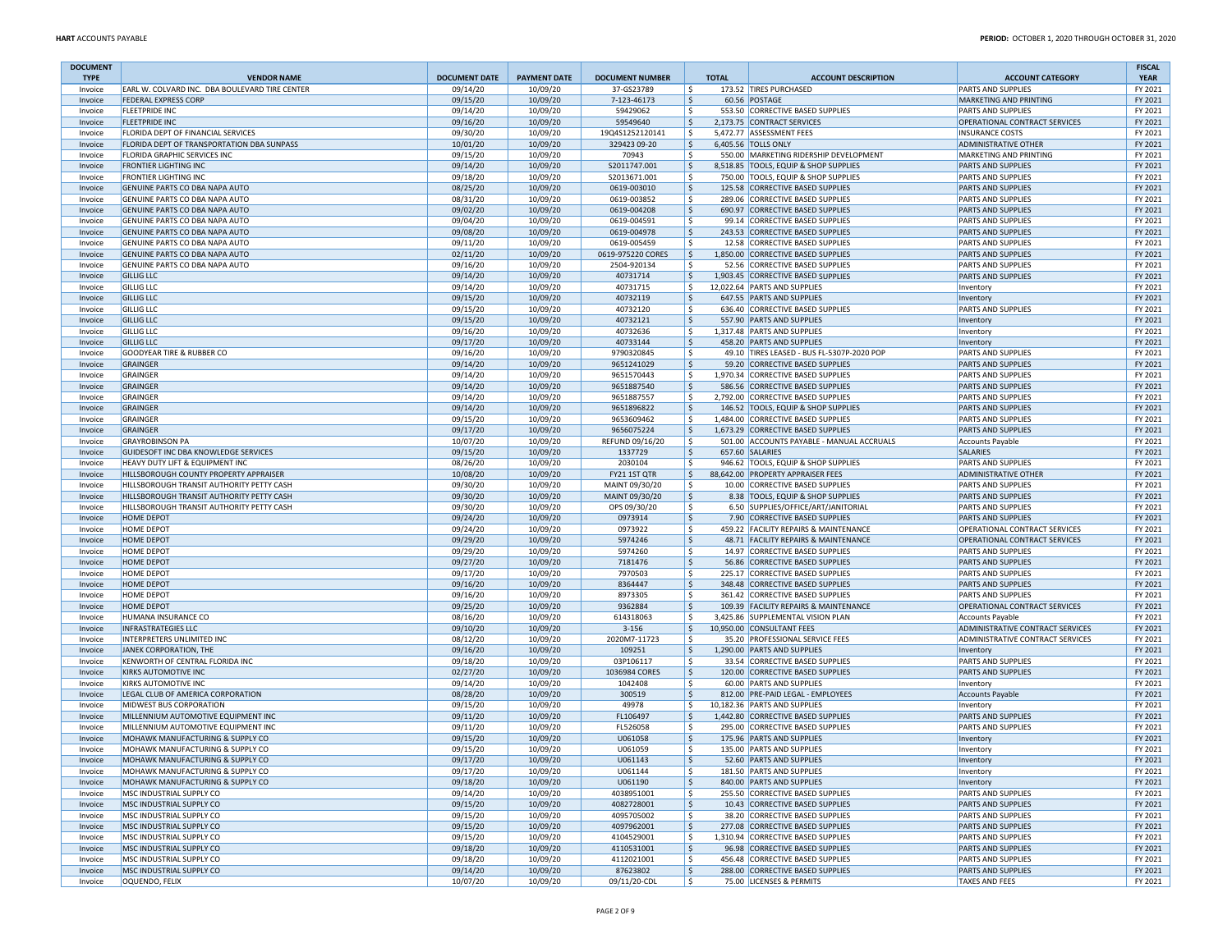| <b>DOCUMENT</b><br><b>TYPE</b> | <b>VENDOR NAME</b>                                          | <b>DOCUMENT DATE</b> | <b>PAYMENT DATE</b>  | <b>DOCUMENT NUMBER</b>           | <b>TOTAL</b>              | <b>ACCOUNT DESCRIPTION</b>                                            | <b>ACCOUNT CATEGORY</b>                                | <b>FISCAL</b><br><b>YEAR</b> |
|--------------------------------|-------------------------------------------------------------|----------------------|----------------------|----------------------------------|---------------------------|-----------------------------------------------------------------------|--------------------------------------------------------|------------------------------|
| Invoice                        | EARL W. COLVARD INC. DBA BOULEVARD TIRE CENTER              | 09/14/20             | 10/09/20             | 37-GS23789                       | -\$                       | 173.52 TIRES PURCHASED                                                | PARTS AND SUPPLIES                                     | FY 2021                      |
| Invoice                        | FEDERAL EXPRESS CORP                                        | 09/15/20             | 10/09/20             | 7-123-46173                      | \$                        | 60.56 POSTAGE                                                         | <b>MARKETING AND PRINTING</b>                          | FY 2021                      |
| Invoice                        | <b>FLEETPRIDE INC</b>                                       | 09/14/20             | 10/09/20             | 59429062                         | Ŝ.                        | 553.50 CORRECTIVE BASED SUPPLIES                                      | PARTS AND SUPPLIES                                     | FY 2021                      |
| Invoice                        | <b>FLEETPRIDE INC</b><br>FLORIDA DEPT OF FINANCIAL SERVICES | 09/16/20             | 10/09/20             | 59549640<br>19Q4S1252120141      | $\mathsf{S}$<br>\$        | 2,173.75 CONTRACT SERVICES<br>5,472.77 ASSESSMENT FEES                | OPERATIONAL CONTRACT SERVICES                          | FY 2021<br>FY 2021           |
| Invoice<br>Invoice             | FLORIDA DEPT OF TRANSPORTATION DBA SUNPASS                  | 09/30/20<br>10/01/20 | 10/09/20<br>10/09/20 | 329423 09-20                     | \$                        | 6,405.56 TOLLS ONLY                                                   | <b>INSURANCE COSTS</b><br><b>ADMINISTRATIVE OTHER</b>  | FY 2021                      |
| Invoice                        | FLORIDA GRAPHIC SERVICES INC                                | 09/15/20             | 10/09/20             | 70943                            | -\$                       | 550.00 MARKETING RIDERSHIP DEVELOPMENT                                | MARKETING AND PRINTING                                 | FY 2021                      |
| Invoice                        | <b>FRONTIER LIGHTING INC</b>                                | 09/14/20             | 10/09/20             | S2011747.001                     | $\ddot{\varsigma}$        | 8,518.85 TOOLS, EQUIP & SHOP SUPPLIES                                 | PARTS AND SUPPLIES                                     | FY 2021                      |
| Invoice                        | <b>FRONTIER LIGHTING INC</b>                                | 09/18/20             | 10/09/20             | S2013671.001                     | \$                        | 750.00 TOOLS, EQUIP & SHOP SUPPLIES                                   | PARTS AND SUPPLIES                                     | FY 2021                      |
| Invoice                        | GENUINE PARTS CO DBA NAPA AUTO                              | 08/25/20             | 10/09/20             | 0619-003010                      | S.                        | 125.58 CORRECTIVE BASED SUPPLIES                                      | <b>PARTS AND SUPPLIES</b>                              | FY 2021                      |
| Invoice                        | GENUINE PARTS CO DBA NAPA AUTO                              | 08/31/20             | 10/09/20             | 0619-003852                      | -S                        | 289.06 CORRECTIVE BASED SUPPLIES                                      | <b>PARTS AND SUPPLIES</b>                              | FY 2021                      |
| Invoice                        | GENUINE PARTS CO DBA NAPA AUTO                              | 09/02/20             | 10/09/20             | 0619-004208                      | \$                        | 690.97 CORRECTIVE BASED SUPPLIES                                      | PARTS AND SUPPLIES                                     | FY 2021                      |
| Invoice                        | GENUINE PARTS CO DBA NAPA AUTO                              | 09/04/20             | 10/09/20             | 0619-004591                      | -\$                       | 99.14 CORRECTIVE BASED SUPPLIES                                       | <b>PARTS AND SUPPLIES</b>                              | FY 2021                      |
| Invoice                        | GENUINE PARTS CO DBA NAPA AUTO                              | 09/08/20             | 10/09/20             | 0619-004978                      | \$                        | 243.53 CORRECTIVE BASED SUPPLIES                                      | <b>PARTS AND SUPPLIES</b>                              | FY 2021                      |
| Invoice                        | GENUINE PARTS CO DBA NAPA AUTO                              | 09/11/20             | 10/09/20             | 0619-005459                      | \$.                       | 12.58 CORRECTIVE BASED SUPPLIES                                       | <b>PARTS AND SUPPLIES</b>                              | FY 2021                      |
| Invoice                        | GENUINE PARTS CO DBA NAPA AUTO                              | 02/11/20             | 10/09/20             | 0619-975220 CORES                | \$                        | 1,850.00 CORRECTIVE BASED SUPPLIES                                    | PARTS AND SUPPLIES                                     | FY 2021                      |
| Invoice                        | GENUINE PARTS CO DBA NAPA AUTO                              | 09/16/20             | 10/09/20             | 2504-920134                      | -\$                       | 52.56 CORRECTIVE BASED SUPPLIES                                       | <b>PARTS AND SUPPLIES</b>                              | FY 2021                      |
| Invoice                        | <b>GILLIG LLC</b>                                           | 09/14/20             | 10/09/20             | 40731714                         | -\$                       | 1,903.45 CORRECTIVE BASED SUPPLIES                                    | <b>PARTS AND SUPPLIES</b>                              | FY 2021                      |
| Invoice                        | <b>GILLIG LLC</b>                                           | 09/14/20             | 10/09/20             | 40731715                         | \$                        | 12,022.64 PARTS AND SUPPLIES                                          | Inventory                                              | FY 2021                      |
| Invoice                        | <b>GILLIG LLC</b>                                           | 09/15/20             | 10/09/20             | 40732119                         | \$                        | 647.55 PARTS AND SUPPLIES                                             | Inventory                                              | FY 2021                      |
| Invoice                        | <b>GILLIG LLC</b><br><b>GILLIG LLC</b>                      | 09/15/20             | 10/09/20             | 40732120<br>40732121             | -\$<br>$\ddot{\varsigma}$ | 636.40 CORRECTIVE BASED SUPPLIES<br>557.90 PARTS AND SUPPLIES         | <b>PARTS AND SUPPLIES</b>                              | FY 2021<br>FY 2021           |
| Invoice                        | <b>GILLIG LLC</b>                                           | 09/15/20<br>09/16/20 | 10/09/20<br>10/09/20 | 40732636                         | \$                        | 1,317.48 PARTS AND SUPPLIES                                           | Inventory                                              | FY 2021                      |
| Invoice<br>Invoice             | <b>GILLIG LLC</b>                                           | 09/17/20             | 10/09/20             | 40733144                         | \$                        | 458.20 PARTS AND SUPPLIES                                             | Inventory<br>Inventory                                 | FY 2021                      |
| Invoice                        | GOODYEAR TIRE & RUBBER CO                                   | 09/16/20             | 10/09/20             | 9790320845                       | \$.                       | 49.10 TIRES LEASED - BUS FL-5307P-2020 POP                            | <b>PARTS AND SUPPLIES</b>                              | FY 2021                      |
| Invoice                        | <b>GRAINGER</b>                                             | 09/14/20             | 10/09/20             | 9651241029                       | \$                        | 59.20 CORRECTIVE BASED SUPPLIES                                       | PARTS AND SUPPLIES                                     | FY 2021                      |
| Invoice                        | GRAINGER                                                    | 09/14/20             | 10/09/20             | 9651570443                       | Ŝ.                        | 1,970.34 CORRECTIVE BASED SUPPLIES                                    | PARTS AND SUPPLIES                                     | FY 2021                      |
| Invoice                        | <b>GRAINGER</b>                                             | 09/14/20             | 10/09/20             | 9651887540                       | \$                        | 586.56 CORRECTIVE BASED SUPPLIES                                      | <b>PARTS AND SUPPLIES</b>                              | FY 2021                      |
| Invoice                        | GRAINGER                                                    | 09/14/20             | 10/09/20             | 9651887557                       | -\$                       | 2,792.00 CORRECTIVE BASED SUPPLIES                                    | <b>PARTS AND SUPPLIES</b>                              | FY 2021                      |
| Invoice                        | <b>GRAINGER</b>                                             | 09/14/20             | 10/09/20             | 9651896822                       | \$                        | 146.52 TOOLS, EQUIP & SHOP SUPPLIES                                   | PARTS AND SUPPLIES                                     | FY 2021                      |
| Invoice                        | GRAINGER                                                    | 09/15/20             | 10/09/20             | 9653609462                       | \$.                       | 1,484.00 CORRECTIVE BASED SUPPLIES                                    | <b>PARTS AND SUPPLIES</b>                              | FY 2021                      |
| Invoice                        | <b>GRAINGER</b>                                             | 09/17/20             | 10/09/20             | 9656075224                       | -\$                       | 1,673.29 CORRECTIVE BASED SUPPLIES                                    | <b>PARTS AND SUPPLIES</b>                              | FY 2021                      |
| Invoice                        | <b>GRAYROBINSON PA</b>                                      | 10/07/20             | 10/09/20             | REFUND 09/16/20                  | \$.                       | 501.00 ACCOUNTS PAYABLE - MANUAL ACCRUALS                             | <b>Accounts Payable</b>                                | FY 2021                      |
| Invoice                        | <b>GUIDESOFT INC DBA KNOWLEDGE SERVICES</b>                 | 09/15/20             | 10/09/20             | 1337729                          | \$                        | 657.60 SALARIES                                                       | <b>SALARIES</b>                                        | FY 2021                      |
| Invoice                        | HEAVY DUTY LIFT & EQUIPMENT INC                             | 08/26/20             | 10/09/20             | 2030104                          | \$                        | 946.62 TOOLS, EQUIP & SHOP SUPPLIES                                   | <b>PARTS AND SUPPLIES</b>                              | FY 2021                      |
| Invoice                        | HILLSBOROUGH COUNTY PROPERTY APPRAISER                      | 10/08/20             | 10/09/20             | FY21 1ST QTR                     | \$                        | 88,642.00 PROPERTY APPRAISER FEES                                     | <b>ADMINISTRATIVE OTHER</b>                            | FY 2021                      |
| Invoice                        | HILLSBOROUGH TRANSIT AUTHORITY PETTY CASH                   | 09/30/20             | 10/09/20             | MAINT 09/30/20<br>MAINT 09/30/20 | \$                        | 10.00 CORRECTIVE BASED SUPPLIES                                       | PARTS AND SUPPLIES                                     | FY 2021                      |
| Invoice                        | HILLSBOROUGH TRANSIT AUTHORITY PETTY CASH                   | 09/30/20<br>09/30/20 | 10/09/20             |                                  | \$<br>-\$                 | 8.38 TOOLS, EQUIP & SHOP SUPPLIES                                     | <b>PARTS AND SUPPLIES</b>                              | FY 2021<br>FY 2021           |
| Invoice<br>Invoice             | HILLSBOROUGH TRANSIT AUTHORITY PETTY CASH<br>HOME DEPOT     | 09/24/20             | 10/09/20<br>10/09/20 | OPS 09/30/20<br>0973914          | $\ddot{\varsigma}$        | 6.50 SUPPLIES/OFFICE/ART/JANITORIAL<br>7.90 CORRECTIVE BASED SUPPLIES | <b>PARTS AND SUPPLIES</b><br><b>PARTS AND SUPPLIES</b> | FY 2021                      |
| Invoice                        | HOME DEPOT                                                  | 09/24/20             | 10/09/20             | 0973922                          | \$.                       | 459.22 FACILITY REPAIRS & MAINTENANCE                                 | OPERATIONAL CONTRACT SERVICES                          | FY 2021                      |
| Invoice                        | HOME DEPOT                                                  | 09/29/20             | 10/09/20             | 5974246                          | \$                        | 48.71 FACILITY REPAIRS & MAINTENANCE                                  | OPERATIONAL CONTRACT SERVICES                          | FY 2021                      |
| Invoice                        | HOME DEPOT                                                  | 09/29/20             | 10/09/20             | 5974260                          | -\$                       | 14.97 CORRECTIVE BASED SUPPLIES                                       | <b>PARTS AND SUPPLIES</b>                              | FY 2021                      |
| Invoice                        | HOME DEPOT                                                  | 09/27/20             | 10/09/20             | 7181476                          | $\ddot{\varsigma}$        | 56.86 CORRECTIVE BASED SUPPLIES                                       | PARTS AND SUPPLIES                                     | FY 2021                      |
| Invoice                        | <b>HOME DEPOT</b>                                           | 09/17/20             | 10/09/20             | 7970503                          | -\$                       | 225.17 CORRECTIVE BASED SUPPLIES                                      | <b>PARTS AND SUPPLIES</b>                              | FY 2021                      |
| Invoice                        | HOME DEPOT                                                  | 09/16/20             | 10/09/20             | 8364447                          | -\$                       | 348.48 CORRECTIVE BASED SUPPLIES                                      | <b>PARTS AND SUPPLIES</b>                              | FY 2021                      |
| Invoice                        | HOME DEPOT                                                  | 09/16/20             | 10/09/20             | 8973305                          | \$.                       | 361.42 CORRECTIVE BASED SUPPLIES                                      | PARTS AND SUPPLIES                                     | FY 2021                      |
| Invoice                        | HOME DEPOT                                                  | 09/25/20             | 10/09/20             | 9362884                          | \$                        | 109.39 FACILITY REPAIRS & MAINTENANCE                                 | OPERATIONAL CONTRACT SERVICES                          | FY 2021                      |
| Invoice                        | HUMANA INSURANCE CO                                         | 08/16/20             | 10/09/20             | 614318063                        | S.                        | 3,425.86 SUPPLEMENTAL VISION PLAN                                     | <b>Accounts Payable</b>                                | FY 2021                      |
| Invoice                        | <b>INFRASTRATEGIES LLC</b>                                  | 09/10/20             | 10/09/20             | $3 - 156$                        | \$.                       | 10,950.00 CONSULTANT FEES                                             | ADMINISTRATIVE CONTRACT SERVICES                       | FY 2021                      |
| Invoice                        | INTERPRETERS UNLIMITED INC                                  | 08/12/20             | 10/09/20             | 2020M7-11723                     | -\$                       | 35.20 PROFESSIONAL SERVICE FEES                                       | ADMINISTRATIVE CONTRACT SERVICES                       | FY 2021                      |
| Invoice                        | JANEK CORPORATION, THE                                      | 09/16/20             | 10/09/20             | 109251                           | $\ddot{\varsigma}$        | 1,290.00 PARTS AND SUPPLIES                                           | Inventory                                              | FY 2021                      |
| Invoice                        | KENWORTH OF CENTRAL FLORIDA INC<br>KIRKS AUTOMOTIVE INC     | 09/18/20<br>02/27/20 | 10/09/20<br>10/09/20 | 03P106117<br>1036984 CORES       | Ŝ.<br>\$                  | 33.54 CORRECTIVE BASED SUPPLIES<br>120.00 CORRECTIVE BASED SUPPLIES   | <b>PARTS AND SUPPLIES</b><br><b>PARTS AND SUPPLIES</b> | FY 2021<br>FY 2021           |
| Invoice<br>Invoice             | KIRKS AUTOMOTIVE INC                                        | 09/14/20             | 10/09/20             | 1042408                          | \$.                       | 60.00 PARTS AND SUPPLIES                                              | Inventory                                              | FY 2021                      |
| Invoice                        | LEGAL CLUB OF AMERICA CORPORATION                           | 08/28/20             | 10/09/20             | 300519                           | -\$                       | 812.00 PRE-PAID LEGAL - EMPLOYEES                                     | Accounts Payable                                       | FY 2021                      |
| Invoice                        | MIDWEST BUS CORPORATION                                     | 09/15/20             | 10/09/20             | 49978                            | -\$                       | 10,182.36 PARTS AND SUPPLIES                                          | Inventory                                              | FY 2021                      |
| Invoice                        | MILLENNIUM AUTOMOTIVE EQUIPMENT INC                         | 09/11/20             | 10/09/20             | FL106497                         | $\ddot{\varsigma}$        | 1,442.80 CORRECTIVE BASED SUPPLIES                                    | <b>PARTS AND SUPPLIES</b>                              | FY 2021                      |
| Invoice                        | MILLENNIUM AUTOMOTIVE EQUIPMENT INC                         | 09/11/20             | 10/09/20             | FL526058                         | \$.                       | 295.00 CORRECTIVE BASED SUPPLIES                                      | <b>PARTS AND SUPPLIES</b>                              | FY 2021                      |
| Invoice                        | MOHAWK MANUFACTURING & SUPPLY CO                            | 09/15/20             | 10/09/20             | U061058                          | -Ś                        | 175.96 PARTS AND SUPPLIES                                             | Inventory                                              | FY 2021                      |
| Invoice                        | MOHAWK MANUFACTURING & SUPPLY CO                            | 09/15/20             | 10/09/20             | U061059                          | -S                        | 135.00 PARTS AND SUPPLIES                                             | Inventory                                              | FY 2021                      |
| Invoice                        | MOHAWK MANUFACTURING & SUPPLY CO                            | 09/17/20             | 10/09/20             | U061143                          | $\ddot{ }$                | 52.60 PARTS AND SUPPLIES                                              | Inventory                                              | FY 2021                      |
| Invoice                        | MOHAWK MANUFACTURING & SUPPLY CO                            | 09/17/20             | 10/09/20             | U061144                          | \$                        | 181.50 PARTS AND SUPPLIES                                             | Inventory                                              | FY 2021                      |
| Invoice                        | MOHAWK MANUFACTURING & SUPPLY CO                            | 09/18/20             | 10/09/20             | U061190                          | \$                        | 840.00 PARTS AND SUPPLIES                                             | Inventory                                              | FY 2021                      |
| Invoice                        | MSC INDUSTRIAL SUPPLY CO                                    | 09/14/20             | 10/09/20             | 4038951001                       | \$                        | 255.50 CORRECTIVE BASED SUPPLIES                                      | PARTS AND SUPPLIES                                     | FY 2021                      |
| Invoice                        | MSC INDUSTRIAL SUPPLY CO                                    | 09/15/20             | 10/09/20             | 4082728001                       | $\ddot{\varsigma}$        | 10.43 CORRECTIVE BASED SUPPLIES                                       | <b>PARTS AND SUPPLIES</b>                              | FY 2021                      |
| Invoice                        | MSC INDUSTRIAL SUPPLY CO                                    | 09/15/20             | 10/09/20             | 4095705002                       | \$.                       | 38.20 CORRECTIVE BASED SUPPLIES                                       | <b>PARTS AND SUPPLIES</b>                              | FY 2021                      |
| Invoice                        | MSC INDUSTRIAL SUPPLY CO                                    | 09/15/20             | 10/09/20             | 4097962001                       | \$                        | 277.08 CORRECTIVE BASED SUPPLIES                                      | PARTS AND SUPPLIES                                     | FY 2021                      |
| Invoice                        | MSC INDUSTRIAL SUPPLY CO                                    | 09/15/20             | 10/09/20             | 4104529001                       | \$                        | 1,310.94 CORRECTIVE BASED SUPPLIES                                    | PARTS AND SUPPLIES                                     | FY 2021                      |
| Invoice                        | MSC INDUSTRIAL SUPPLY CO                                    | 09/18/20<br>09/18/20 | 10/09/20<br>10/09/20 | 4110531001                       | \$<br>-\$                 | 96.98 CORRECTIVE BASED SUPPLIES                                       | <b>PARTS AND SUPPLIES</b>                              | FY 2021<br>FY 2021           |
| Invoice<br>Invoice             | MSC INDUSTRIAL SUPPLY CO<br>MSC INDUSTRIAL SUPPLY CO        | 09/14/20             | 10/09/20             | 4112021001<br>87623802           | \$                        | 456.48 CORRECTIVE BASED SUPPLIES<br>288.00 CORRECTIVE BASED SUPPLIES  | <b>PARTS AND SUPPLIES</b><br>PARTS AND SUPPLIES        | FY 2021                      |
| Invoice                        | OQUENDO, FELIX                                              | 10/07/20             | 10/09/20             | 09/11/20-CDL                     | \$                        | 75.00 LICENSES & PERMITS                                              | <b>TAXES AND FEES</b>                                  | FY 2021                      |
|                                |                                                             |                      |                      |                                  |                           |                                                                       |                                                        |                              |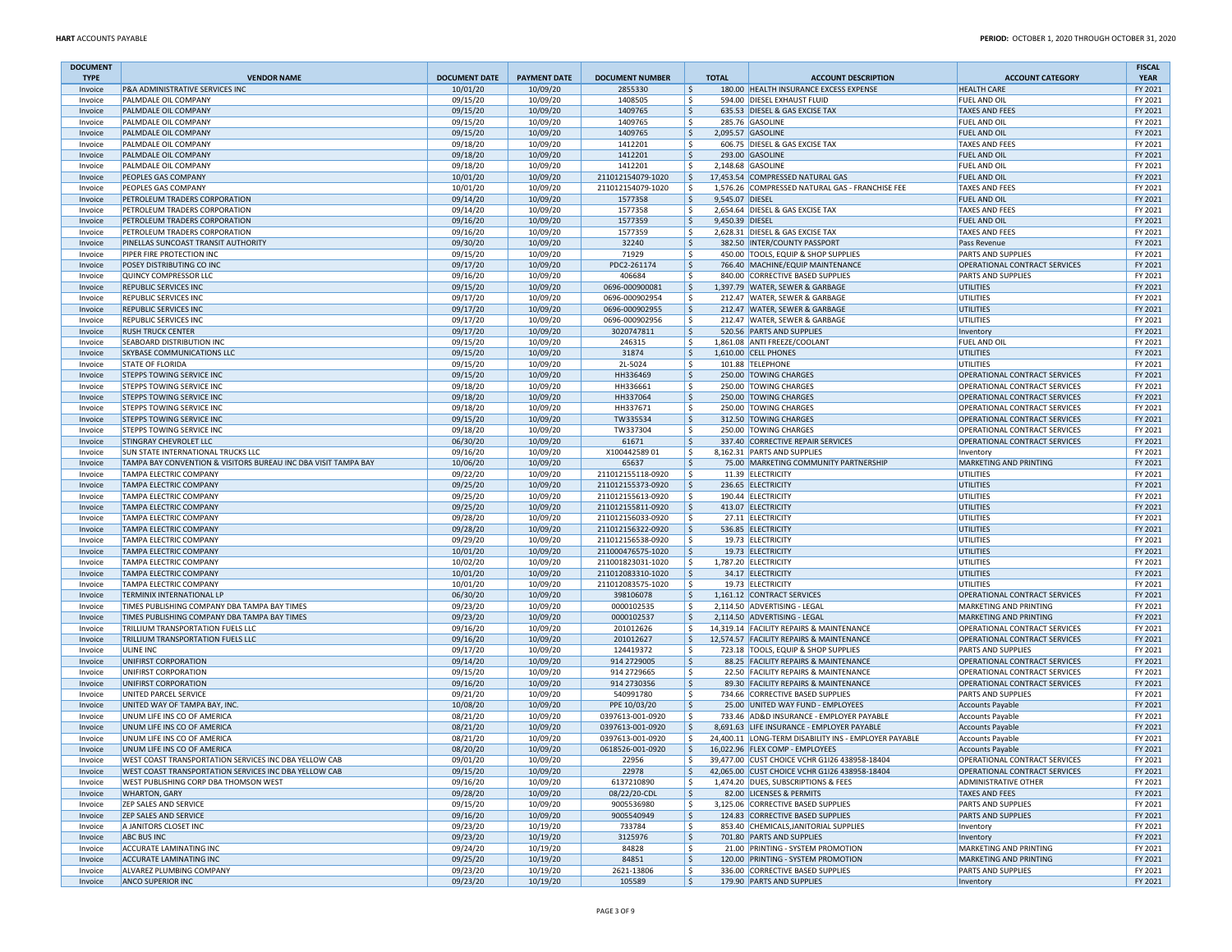| <b>DOCUMENT</b>        |                                                                                                                | <b>DOCUMENT DATE</b> | <b>PAYMENT DATE</b>  | <b>DOCUMENT NUMBER</b>                 |                        |                                                                                                |                                                                | <b>FISCAL</b><br><b>YEAR</b> |
|------------------------|----------------------------------------------------------------------------------------------------------------|----------------------|----------------------|----------------------------------------|------------------------|------------------------------------------------------------------------------------------------|----------------------------------------------------------------|------------------------------|
| <b>TYPE</b><br>Invoice | <b>VENDOR NAME</b><br>P&A ADMINISTRATIVE SERVICES INC                                                          | 10/01/20             | 10/09/20             | 2855330                                | <b>TOTAL</b><br>\$     | <b>ACCOUNT DESCRIPTION</b><br>180.00 HEALTH INSURANCE EXCESS EXPENSE                           | <b>ACCOUNT CATEGORY</b><br><b>HEALTH CARE</b>                  | FY 2021                      |
| Invoice                | PALMDALE OIL COMPANY                                                                                           | 09/15/20             | 10/09/20             | 1408505                                | \$.                    | 594.00 DIESEL EXHAUST FLUID                                                                    | <b>FUEL AND OIL</b>                                            | FY 2021                      |
| Invoice                | PALMDALE OIL COMPANY                                                                                           | 09/15/20             | 10/09/20             | 1409765                                | $\zeta$                | 635.53 DIESEL & GAS EXCISE TAX                                                                 | <b>TAXES AND FEES</b>                                          | FY 2021                      |
| Invoice                | PALMDALE OIL COMPANY                                                                                           | 09/15/20             | 10/09/20             | 1409765                                | -\$                    | 285.76 GASOLINE                                                                                | <b>FUEL AND OIL</b>                                            | FY 2021                      |
| Invoice                | PALMDALE OIL COMPANY                                                                                           | 09/15/20             | 10/09/20             | 1409765                                | $\zeta$                | 2,095.57 GASOLINE                                                                              | <b>FUEL AND OIL</b>                                            | FY 2021                      |
| Invoice                | PALMDALE OIL COMPANY                                                                                           | 09/18/20             | 10/09/20             | 1412201                                | \$.                    | 606.75 DIESEL & GAS EXCISE TAX                                                                 | <b>TAXES AND FEES</b>                                          | FY 2021                      |
| Invoice                | PALMDALE OIL COMPANY                                                                                           | 09/18/20             | 10/09/20             | 1412201                                | \$                     | 293.00 GASOLINE                                                                                | <b>FUEL AND OIL</b>                                            | FY 2021                      |
| Invoice                | PALMDALE OIL COMPANY                                                                                           | 09/18/20             | 10/09/20             | 1412201                                | \$                     | 2,148.68 GASOLINE                                                                              | <b>FUEL AND OIL</b>                                            | FY 2021                      |
| Invoice<br>Invoice     | PEOPLES GAS COMPANY<br>PEOPLES GAS COMPANY                                                                     | 10/01/20             | 10/09/20             | 211012154079-1020<br>211012154079-1020 | l\$<br>S.              | 17,453.54 COMPRESSED NATURAL GAS<br>1,576.26 COMPRESSED NATURAL GAS - FRANCHISE FEE            | <b>FUEL AND OIL</b><br><b>TAXES AND FEES</b>                   | FY 2021<br>FY 2021           |
| Invoice                | PETROLEUM TRADERS CORPORATION                                                                                  | 10/01/20<br>09/14/20 | 10/09/20<br>10/09/20 | 1577358                                | \$.<br>9,545.07 DIESEL |                                                                                                | <b>FUEL AND OIL</b>                                            | FY 2021                      |
| Invoice                | PETROLEUM TRADERS CORPORATION                                                                                  | 09/14/20             | 10/09/20             | 1577358                                | -\$                    | 2,654.64 DIESEL & GAS EXCISE TAX                                                               | <b>TAXES AND FEES</b>                                          | FY 2021                      |
| Invoice                | PETROLEUM TRADERS CORPORATION                                                                                  | 09/16/20             | 10/09/20             | 1577359                                | \$<br>9,450.39 DIESEL  |                                                                                                | <b>FUEL AND OIL</b>                                            | FY 2021                      |
| Invoice                | PETROLEUM TRADERS CORPORATION                                                                                  | 09/16/20             | 10/09/20             | 1577359                                | \$                     | 2,628.31 DIESEL & GAS EXCISE TAX                                                               | TAXES AND FEES                                                 | FY 2021                      |
| Invoice                | PINELLAS SUNCOAST TRANSIT AUTHORITY                                                                            | 09/30/20             | 10/09/20             | 32240                                  | \$                     | 382.50 INTER/COUNTY PASSPORT                                                                   | Pass Revenue                                                   | FY 2021                      |
| Invoice                | PIPER FIRE PROTECTION INC                                                                                      | 09/15/20             | 10/09/20             | 71929                                  | \$.                    | 450.00 TOOLS, EQUIP & SHOP SUPPLIES                                                            | <b>PARTS AND SUPPLIES</b>                                      | FY 2021                      |
| Invoice                | POSEY DISTRIBUTING CO INC                                                                                      | 09/17/20             | 10/09/20             | PDC2-261174                            | \$                     | 766.40 MACHINE/EQUIP MAINTENANCE                                                               | OPERATIONAL CONTRACT SERVICES                                  | FY 2021                      |
| Invoice                | QUINCY COMPRESSOR LLC                                                                                          | 09/16/20             | 10/09/20             | 406684                                 | \$                     | 840.00 CORRECTIVE BASED SUPPLIES                                                               | <b>PARTS AND SUPPLIES</b>                                      | FY 2021                      |
| Invoice                | REPUBLIC SERVICES INC                                                                                          | 09/15/20             | 10/09/20             | 0696-000900081                         | $\zeta$                | 1,397.79 WATER, SEWER & GARBAGE                                                                | <b>UTILITIES</b>                                               | FY 2021                      |
| Invoice<br>Invoice     | REPUBLIC SERVICES INC<br><b>REPUBLIC SERVICES INC</b>                                                          | 09/17/20<br>09/17/20 | 10/09/20<br>10/09/20 | 0696-000902954<br>0696-000902955       | \$<br>$\zeta$          | 212.47 WATER, SEWER & GARBAGE<br>212.47 WATER, SEWER & GARBAGE                                 | UTILITIES<br><b>UTILITIES</b>                                  | FY 2021<br>FY 2021           |
| Invoice                | REPUBLIC SERVICES INC                                                                                          | 09/17/20             | 10/09/20             | 0696-000902956                         | -\$                    | 212.47 WATER, SEWER & GARBAGE                                                                  | UTILITIES                                                      | FY 2021                      |
| Invoice                | <b>RUSH TRUCK CENTER</b>                                                                                       | 09/17/20             | 10/09/20             | 3020747811                             | $\zeta$                | 520.56 PARTS AND SUPPLIES                                                                      | Inventory                                                      | FY 2021                      |
| Invoice                | SEABOARD DISTRIBUTION INC                                                                                      | 09/15/20             | 10/09/20             | 246315                                 | \$                     | 1,861.08 ANTI FREEZE/COOLANT                                                                   | <b>FUEL AND OIL</b>                                            | FY 2021                      |
| Invoice                | <b>SKYBASE COMMUNICATIONS LLC</b>                                                                              | 09/15/20             | 10/09/20             | 31874                                  | l\$                    | 1,610.00 CELL PHONES                                                                           | <b>UTILITIES</b>                                               | FY 2021                      |
| Invoice                | <b>STATE OF FLORIDA</b>                                                                                        | 09/15/20             | 10/09/20             | 2L-5024                                | -\$                    | 101.88 TELEPHONE                                                                               | <b>UTILITIES</b>                                               | FY 2021                      |
| Invoice                | <b>STEPPS TOWING SERVICE INC</b>                                                                               | 09/15/20             | 10/09/20             | HH336469                               | $\zeta$                | 250.00 TOWING CHARGES                                                                          | OPERATIONAL CONTRACT SERVICES                                  | FY 2021                      |
| Invoice                | STEPPS TOWING SERVICE INC                                                                                      | 09/18/20             | 10/09/20             | HH336661                               | \$.                    | 250.00 TOWING CHARGES                                                                          | <b>OPERATIONAL CONTRACT SERVICES</b>                           | FY 2021                      |
| Invoice                | <b>STEPPS TOWING SERVICE INC</b>                                                                               | 09/18/20             | 10/09/20             | HH337064                               | \$                     | 250.00 TOWING CHARGES                                                                          | OPERATIONAL CONTRACT SERVICES                                  | FY 2021                      |
| Invoice                | STEPPS TOWING SERVICE INC                                                                                      | 09/18/20             | 10/09/20             | HH337671                               | \$                     | 250.00 TOWING CHARGES                                                                          | OPERATIONAL CONTRACT SERVICES                                  | FY 2021                      |
| Invoice                | <b>STEPPS TOWING SERVICE INC</b>                                                                               | 09/15/20             | 10/09/20             | TW335534                               | \$                     | 312.50 TOWING CHARGES                                                                          | OPERATIONAL CONTRACT SERVICES                                  | FY 2021                      |
| Invoice                | <b>STEPPS TOWING SERVICE INC</b>                                                                               | 09/18/20             | 10/09/20             | TW337304                               | s.                     | 250.00 TOWING CHARGES                                                                          | <b>OPERATIONAL CONTRACT SERVICES</b>                           | FY 2021                      |
| Invoice                | <b>STINGRAY CHEVROLET LLC</b>                                                                                  | 06/30/20             | 10/09/20             | 61671                                  | $\zeta$                | 337.40 CORRECTIVE REPAIR SERVICES                                                              | OPERATIONAL CONTRACT SERVICES                                  | FY 2021                      |
| Invoice                | <b>SUN STATE INTERNATIONAL TRUCKS LLC</b>                                                                      | 09/16/20             | 10/09/20             | X10044258901                           | \$                     | 8,162.31 PARTS AND SUPPLIES                                                                    | Inventory                                                      | FY 2021                      |
| Invoice<br>Invoice     | TAMPA BAY CONVENTION & VISITORS BUREAU INC DBA VISIT TAMPA BAY<br>TAMPA ELECTRIC COMPANY                       | 10/06/20<br>09/22/20 | 10/09/20<br>10/09/20 | 65637<br>211012155118-0920             | $\zeta$<br>S.          | 75.00 MARKETING COMMUNITY PARTNERSHIP<br>11.39 ELECTRICITY                                     | MARKETING AND PRINTING<br>UTILITIES                            | FY 2021<br>FY 2021           |
| Invoice                | <b>TAMPA ELECTRIC COMPANY</b>                                                                                  | 09/25/20             | 10/09/20             | 211012155373-0920                      | \$                     | 236.65 ELECTRICITY                                                                             | <b>UTILITIES</b>                                               | FY 2021                      |
| Invoice                | TAMPA ELECTRIC COMPANY                                                                                         | 09/25/20             | 10/09/20             | 211012155613-0920                      | \$                     | 190.44 ELECTRICITY                                                                             | UTILITIES                                                      | FY 2021                      |
| Invoice                | <b>TAMPA ELECTRIC COMPANY</b>                                                                                  | 09/25/20             | 10/09/20             | 211012155811-0920                      | S.                     | 413.07 ELECTRICITY                                                                             | <b>UTILITIES</b>                                               | FY 2021                      |
| Invoice                | TAMPA ELECTRIC COMPANY                                                                                         | 09/28/20             | 10/09/20             | 211012156033-0920                      | -\$                    | 27.11 ELECTRICITY                                                                              | UTILITIES                                                      | FY 2021                      |
| Invoice                | <b>TAMPA ELECTRIC COMPANY</b>                                                                                  | 09/28/20             | 10/09/20             | 211012156322-0920                      | $\zeta$                | 536.85 ELECTRICITY                                                                             | UTILITIES                                                      | FY 2021                      |
| Invoice                | TAMPA ELECTRIC COMPANY                                                                                         | 09/29/20             | 10/09/20             | 211012156538-0920                      | \$.                    | 19.73 ELECTRICITY                                                                              | <b>UTILITIES</b>                                               | FY 2021                      |
| Invoice                | <b>TAMPA ELECTRIC COMPANY</b>                                                                                  | 10/01/20             | 10/09/20             | 211000476575-1020                      | $\mathsf{S}$           | 19.73 ELECTRICITY                                                                              | UTILITIES                                                      | FY 2021                      |
| Invoice                | TAMPA ELECTRIC COMPANY                                                                                         | 10/02/20             | 10/09/20             | 211001823031-1020                      | s.                     | 1,787.20 ELECTRICITY                                                                           | <b>UTILITIES</b>                                               | FY 2021                      |
| Invoice                | TAMPA ELECTRIC COMPANY                                                                                         | 10/01/20             | 10/09/20             | 211012083310-1020                      | l\$                    | 34.17 ELECTRICITY                                                                              | <b>UTILITIES</b>                                               | FY 2021                      |
| Invoice                | <b>TAMPA ELECTRIC COMPANY</b>                                                                                  | 10/01/20             | 10/09/20             | 211012083575-1020                      | l \$                   | 19.73 ELECTRICITY                                                                              | <b>UTILITIES</b>                                               | FY 2021                      |
| Invoice                | TERMINIX INTERNATIONAL LP                                                                                      | 06/30/20             | 10/09/20             | 398106078                              | $\zeta$                | 1,161.12 CONTRACT SERVICES                                                                     | OPERATIONAL CONTRACT SERVICES                                  | FY 2021                      |
| Invoice                | TIMES PUBLISHING COMPANY DBA TAMPA BAY TIMES<br>TIMES PUBLISHING COMPANY DBA TAMPA BAY TIMES                   | 09/23/20<br>09/23/20 | 10/09/20<br>10/09/20 | 0000102535<br>0000102537               | \$<br>$\zeta$          | 2,114.50 ADVERTISING - LEGAL<br>2,114.50 ADVERTISING - LEGAL                                   | MARKETING AND PRINTING<br>MARKETING AND PRINTING               | FY 2021<br>FY 2021           |
| Invoice<br>Invoice     | TRILLIUM TRANSPORTATION FUELS LLC                                                                              | 09/16/20             | 10/09/20             | 201012626                              | -\$                    | 14,319.14 FACILITY REPAIRS & MAINTENANCE                                                       | OPERATIONAL CONTRACT SERVICES                                  | FY 2021                      |
| Invoice                | TRILLIUM TRANSPORTATION FUELS LLC                                                                              | 09/16/20             | 10/09/20             | 201012627                              | $\zeta$                | 12,574.57 FACILITY REPAIRS & MAINTENANCE                                                       | OPERATIONAL CONTRACT SERVICES                                  | FY 2021                      |
| Invoice                | <b>ULINE INC</b>                                                                                               | 09/17/20             | 10/09/20             | 124419372                              | \$                     | 723.18 TOOLS, EQUIP & SHOP SUPPLIES                                                            | <b>PARTS AND SUPPLIES</b>                                      | FY 2021                      |
| Invoice                | UNIFIRST CORPORATION                                                                                           | 09/14/20             | 10/09/20             | 914 2729005                            | \$                     | 88.25 FACILITY REPAIRS & MAINTENANCE                                                           | OPERATIONAL CONTRACT SERVICES                                  | FY 2021                      |
| Invoice                | UNIFIRST CORPORATION                                                                                           | 09/15/20             | 10/09/20             | 914 2729665                            | -\$                    | 22.50 FACILITY REPAIRS & MAINTENANCE                                                           | OPERATIONAL CONTRACT SERVICES                                  | FY 2021                      |
| Invoice                | UNIFIRST CORPORATION                                                                                           | 09/16/20             | 10/09/20             | 914 2730356                            | $\zeta$                | 89.30 FACILITY REPAIRS & MAINTENANCE                                                           | OPERATIONAL CONTRACT SERVICES                                  | FY 2021                      |
| Invoice                | UNITED PARCEL SERVICE                                                                                          | 09/21/20             | 10/09/20             | 540991780                              | \$                     | 734.66 CORRECTIVE BASED SUPPLIES                                                               | PARTS AND SUPPLIES                                             | FY 2021                      |
| Invoice                | UNITED WAY OF TAMPA BAY, INC.                                                                                  | 10/08/20             | 10/09/20             | PPE 10/03/20                           | l\$                    | 25.00 UNITED WAY FUND - EMPLOYEES                                                              | <b>Accounts Payable</b>                                        | FY 2021                      |
| Invoice                | UNUM LIFE INS CO OF AMERICA                                                                                    | 08/21/20             | 10/09/20             | 0397613-001-0920                       | \$                     | 733.46 AD&D INSURANCE - EMPLOYER PAYABLE                                                       | <b>Accounts Payable</b>                                        | FY 2021                      |
| Invoice                | UNUM LIFE INS CO OF AMERICA                                                                                    | 08/21/20             | 10/09/20             | 0397613-001-0920                       | \$                     | 8,691.63 LIFE INSURANCE - EMPLOYER PAYABLE                                                     | <b>Accounts Payable</b>                                        | FY 2021                      |
| Invoice                | UNUM LIFE INS CO OF AMERICA                                                                                    | 08/21/20             | 10/09/20             | 0397613-001-0920                       | Ŝ.                     | 24,400.11 LONG-TERM DISABILITY INS - EMPLOYER PAYABLE                                          | <b>Accounts Payable</b>                                        | FY 2021                      |
| Invoice                | UNUM LIFE INS CO OF AMERICA                                                                                    | 08/20/20             | 10/09/20             | 0618526-001-0920                       | Ŝ.                     | 16.022.96 FLEX COMP - EMPLOYEES                                                                | <b>Accounts Payable</b>                                        | FY 2021                      |
| Invoice                | WEST COAST TRANSPORTATION SERVICES INC DBA YELLOW CAE<br>WEST COAST TRANSPORTATION SERVICES INC DBA YELLOW CAB | 09/01/20<br>09/15/20 | 10/09/20<br>10/09/20 | 22956<br>22978                         | \$                     | 39,477.00 CUST CHOICE VCHR G1I26 438958-18404<br>42,065.00 CUST CHOICE VCHR G1I26 438958-18404 | OPERATIONAL CONTRACT SERVICES<br>OPERATIONAL CONTRACT SERVICES | FY 2021<br>FY 2021           |
| Invoice<br>Invoice     | WEST PUBLISHING CORP DBA THOMSON WEST                                                                          | 09/16/20             | 10/09/20             | 6137210890                             | \$                     | 1,474.20 DUES, SUBSCRIPTIONS & FEES                                                            | <b>ADMINISTRATIVE OTHER</b>                                    | FY 2021                      |
| Invoice                | <b>WHARTON, GARY</b>                                                                                           | 09/28/20             | 10/09/20             | 08/22/20-CDL                           | \$                     | 82.00 LICENSES & PERMITS                                                                       | <b>TAXES AND FEES</b>                                          | FY 2021                      |
| Invoice                | <b>ZEP SALES AND SERVICE</b>                                                                                   | 09/15/20             | 10/09/20             | 9005536980                             | \$                     | 3,125.06 CORRECTIVE BASED SUPPLIES                                                             | PARTS AND SUPPLIES                                             | FY 2021                      |
| Invoice                | <b>ZEP SALES AND SERVICE</b>                                                                                   | 09/16/20             | 10/09/20             | 9005540949                             | \$                     | 124.83 CORRECTIVE BASED SUPPLIES                                                               | <b>PARTS AND SUPPLIES</b>                                      | FY 2021                      |
| Invoice                | A JANITORS CLOSET INC                                                                                          | 09/23/20             | 10/19/20             | 733784                                 | \$                     | 853.40 CHEMICALS, JANITORIAL SUPPLIES                                                          | Inventory                                                      | FY 2021                      |
| Invoice                | <b>ABC BUS INC</b>                                                                                             | 09/23/20             | 10/19/20             | 3125976                                | \$                     | 701.80 PARTS AND SUPPLIES                                                                      | Inventory                                                      | FY 2021                      |
| Invoice                | ACCURATE LAMINATING INC                                                                                        | 09/24/20             | 10/19/20             | 84828                                  | \$                     | 21.00 PRINTING - SYSTEM PROMOTION                                                              | MARKETING AND PRINTING                                         | FY 2021                      |
| Invoice                | <b>ACCURATE LAMINATING INC</b>                                                                                 | 09/25/20             | 10/19/20             | 84851                                  | \$                     | 120.00 PRINTING - SYSTEM PROMOTION                                                             | MARKETING AND PRINTING                                         | FY 2021                      |
| Invoice                | ALVAREZ PLUMBING COMPANY                                                                                       | 09/23/20             | 10/19/20             | 2621-13806                             | \$                     | 336.00 CORRECTIVE BASED SUPPLIES                                                               | PARTS AND SUPPLIES                                             | FY 2021                      |
| Invoice                | <b>ANCO SUPERIOR INC</b>                                                                                       | 09/23/20             | 10/19/20             | 105589                                 | l\$                    | 179.90 PARTS AND SUPPLIES                                                                      | Inventory                                                      | FY 2021                      |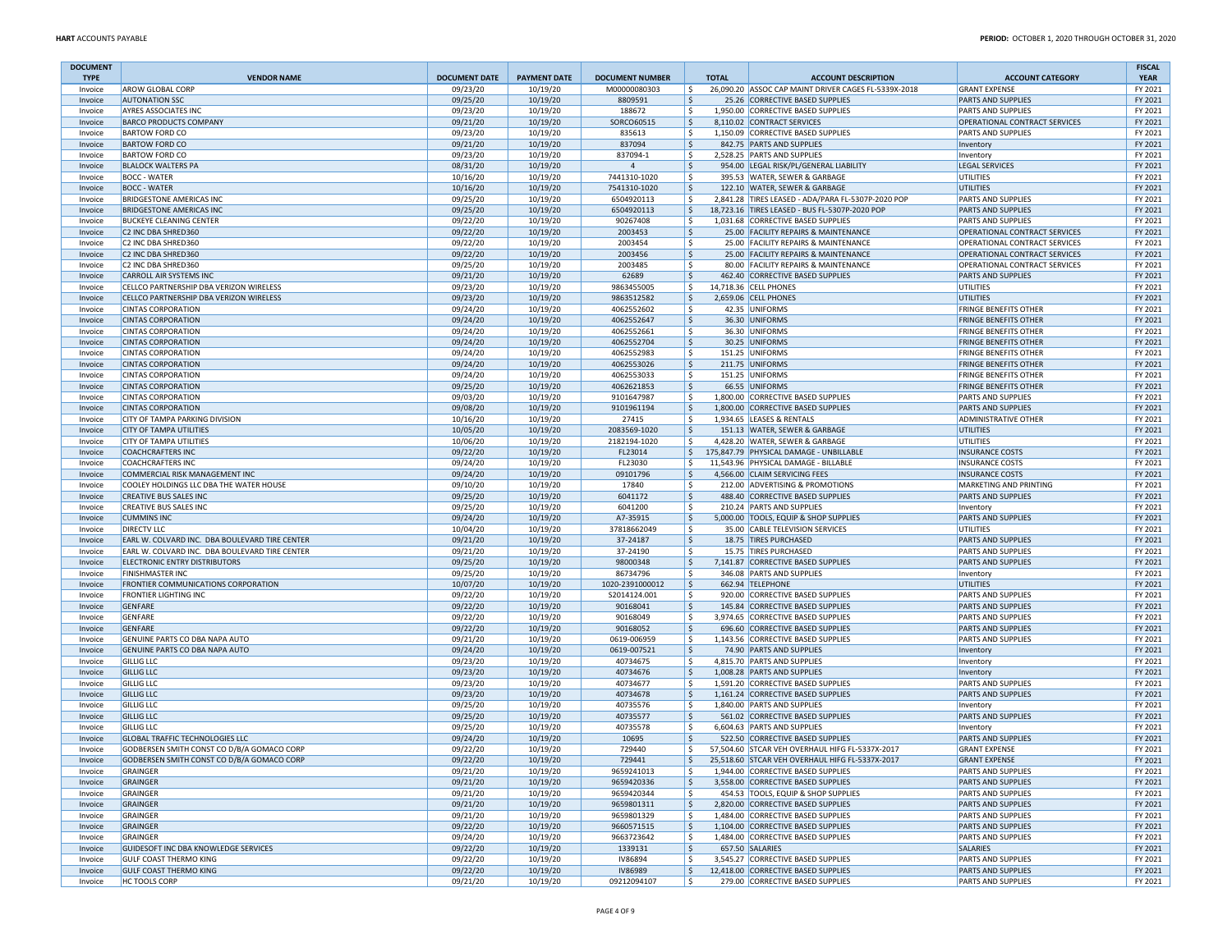| <b>DOCUMENT</b>    |                                                                                                  |                      |                      |                              |              |                                                                                                      |                                                              | <b>FISCAL</b>      |
|--------------------|--------------------------------------------------------------------------------------------------|----------------------|----------------------|------------------------------|--------------|------------------------------------------------------------------------------------------------------|--------------------------------------------------------------|--------------------|
| <b>TYPE</b>        | <b>VENDOR NAME</b>                                                                               | <b>DOCUMENT DATE</b> | <b>PAYMENT DATE</b>  | <b>DOCUMENT NUMBER</b>       | <b>TOTAL</b> | <b>ACCOUNT DESCRIPTION</b>                                                                           | <b>ACCOUNT CATEGORY</b>                                      | <b>YEAR</b>        |
| Invoice<br>Invoice | AROW GLOBAL CORP<br><b>AUTONATION SSC</b>                                                        | 09/23/20<br>09/25/20 | 10/19/20<br>10/19/20 | M00000080303<br>8809591      | \$<br>\$     | 26,090.20 ASSOC CAP MAINT DRIVER CAGES FL-5339X-2018<br>25.26 CORRECTIVE BASED SUPPLIES              | <b>GRANT EXPENSE</b><br>PARTS AND SUPPLIES                   | FY 2021<br>FY 2021 |
| Invoice            | AYRES ASSOCIATES INC                                                                             | 09/23/20             | 10/19/20             | 188672                       | \$           | 1,950.00 CORRECTIVE BASED SUPPLIES                                                                   | PARTS AND SUPPLIES                                           | FY 2021            |
| Invoice            | <b>BARCO PRODUCTS COMPANY</b>                                                                    | 09/21/20             | 10/19/20             | SORCO60515                   | \$           | 8,110.02 CONTRACT SERVICES                                                                           | OPERATIONAL CONTRACT SERVICES                                | FY 2021            |
| Invoice            | <b>BARTOW FORD CO</b>                                                                            | 09/23/20             | 10/19/20             | 835613                       | \$           | 1,150.09 CORRECTIVE BASED SUPPLIES                                                                   | PARTS AND SUPPLIES                                           | FY 2021            |
| Invoice            | <b>BARTOW FORD CO</b>                                                                            | 09/21/20             | 10/19/20             | 837094                       | \$           | 842.75 PARTS AND SUPPLIES                                                                            | Inventory                                                    | FY 2021            |
| Invoice            | <b>BARTOW FORD CO</b>                                                                            | 09/23/20             | 10/19/20             | 837094-1                     | \$           | 2,528.25 PARTS AND SUPPLIES                                                                          | Inventory                                                    | FY 2021            |
| Invoice            | <b>BLALOCK WALTERS PA</b>                                                                        | 08/31/20             | 10/19/20             | $\overline{4}$               | \$           | 954.00 LEGAL RISK/PL/GENERAL LIABILITY                                                               | <b>LEGAL SERVICES</b>                                        | FY 2021            |
| Invoice            | <b>BOCC - WATER</b>                                                                              | 10/16/20             | 10/19/20             | 7441310-1020                 | \$           | 395.53 WATER, SEWER & GARBAGE                                                                        | UTILITIES                                                    | FY 2021            |
| Invoice            | <b>BOCC - WATER</b>                                                                              | 10/16/20             | 10/19/20             | 7541310-1020                 | \$           | 122.10 WATER, SEWER & GARBAGE                                                                        | <b>UTILITIES</b>                                             | FY 2021            |
| Invoice<br>Invoice | <b>BRIDGESTONE AMERICAS INC</b><br><b>BRIDGESTONE AMERICAS INC</b>                               | 09/25/20<br>09/25/20 | 10/19/20<br>10/19/20 | 6504920113<br>6504920113     | Ŝ.<br>\$     | 2,841.28 TIRES LEASED - ADA/PARA FL-5307P-2020 POP<br>18,723.16 TIRES LEASED - BUS FL-5307P-2020 POP | PARTS AND SUPPLIES<br><b>PARTS AND SUPPLIES</b>              | FY 2021<br>FY 2021 |
| Invoice            | <b>BUCKEYE CLEANING CENTER</b>                                                                   | 09/22/20             | 10/19/20             | 90267408                     | \$           | 1,031.68 CORRECTIVE BASED SUPPLIES                                                                   | PARTS AND SUPPLIES                                           | FY 2021            |
| Invoice            | C2 INC DBA SHRED360                                                                              | 09/22/20             | 10/19/20             | 2003453                      | \$           | 25.00 FACILITY REPAIRS & MAINTENANCE                                                                 | OPERATIONAL CONTRACT SERVICES                                | FY 2021            |
| Invoice            | C2 INC DBA SHRED360                                                                              | 09/22/20             | 10/19/20             | 2003454                      | S.           | 25.00 FACILITY REPAIRS & MAINTENANCE                                                                 | OPERATIONAL CONTRACT SERVICES                                | FY 2021            |
| Invoice            | C2 INC DBA SHRED360                                                                              | 09/22/20             | 10/19/20             | 2003456                      | \$           | 25.00 FACILITY REPAIRS & MAINTENANCE                                                                 | OPERATIONAL CONTRACT SERVICES                                | FY 2021            |
| Invoice            | C2 INC DBA SHRED360                                                                              | 09/25/20             | 10/19/20             | 2003485                      | \$           | 80.00 FACILITY REPAIRS & MAINTENANCE                                                                 | OPERATIONAL CONTRACT SERVICES                                | FY 2021            |
| Invoice            | <b>CARROLL AIR SYSTEMS INC</b>                                                                   | 09/21/20             | 10/19/20             | 62689                        | \$           | 462.40 CORRECTIVE BASED SUPPLIES                                                                     | PARTS AND SUPPLIES                                           | FY 2021            |
| Invoice            | CELLCO PARTNERSHIP DBA VERIZON WIRELESS                                                          | 09/23/20             | 10/19/20             | 9863455005                   | \$           | 14,718.36 CELL PHONES                                                                                | UTILITIES                                                    | FY 2021            |
| Invoice            | CELLCO PARTNERSHIP DBA VERIZON WIRELESS                                                          | 09/23/20             | 10/19/20             | 9863512582                   | \$           | 2,659.06 CELL PHONES                                                                                 | <b>UTILITIES</b>                                             | FY 2021            |
| Invoice<br>Invoice | <b>CINTAS CORPORATION</b><br><b>CINTAS CORPORATION</b>                                           | 09/24/20<br>09/24/20 | 10/19/20<br>10/19/20 | 4062552602<br>4062552647     | \$<br>\$     | 42.35 UNIFORMS<br>36.30 UNIFORMS                                                                     | <b>FRINGE BENEFITS OTHER</b><br><b>FRINGE BENEFITS OTHER</b> | FY 2021<br>FY 2021 |
| Invoice            | <b>CINTAS CORPORATION</b>                                                                        | 09/24/20             | 10/19/20             | 4062552661                   | \$           | 36.30 UNIFORMS                                                                                       | <b>FRINGE BENEFITS OTHER</b>                                 | FY 2021            |
| Invoice            | <b>CINTAS CORPORATION</b>                                                                        | 09/24/20             | 10/19/20             | 4062552704                   | \$           | 30.25 UNIFORMS                                                                                       | <b>FRINGE BENEFITS OTHER</b>                                 | FY 2021            |
| Invoice            | <b>CINTAS CORPORATION</b>                                                                        | 09/24/20             | 10/19/20             | 4062552983                   | \$           | 151.25 UNIFORMS                                                                                      | <b>FRINGE BENEFITS OTHER</b>                                 | FY 2021            |
| Invoice            | <b>CINTAS CORPORATION</b>                                                                        | 09/24/20             | 10/19/20             | 4062553026                   | \$           | 211.75 UNIFORMS                                                                                      | <b>FRINGE BENEFITS OTHER</b>                                 | FY 2021            |
| Invoice            | <b>CINTAS CORPORATION</b>                                                                        | 09/24/20             | 10/19/20             | 4062553033                   | Ŝ.           | 151.25 UNIFORMS                                                                                      | <b>FRINGE BENEFITS OTHER</b>                                 | FY 2021            |
| Invoice            | <b>CINTAS CORPORATION</b>                                                                        | 09/25/20             | 10/19/20             | 4062621853                   | \$           | 66.55 UNIFORMS                                                                                       | <b>FRINGE BENEFITS OTHER</b>                                 | FY 2021            |
| Invoice            | <b>CINTAS CORPORATION</b>                                                                        | 09/03/20             | 10/19/20             | 9101647987                   | \$           | 1,800.00 CORRECTIVE BASED SUPPLIES                                                                   | PARTS AND SUPPLIES                                           | FY 2021            |
| Invoice            | <b>CINTAS CORPORATION</b>                                                                        | 09/08/20             | 10/19/20             | 9101961194                   | \$           | 1,800.00 CORRECTIVE BASED SUPPLIES                                                                   | PARTS AND SUPPLIES                                           | FY 2021            |
| Invoice            | CITY OF TAMPA PARKING DIVISION                                                                   | 10/16/20             | 10/19/20             | 27415                        | \$<br>\$     | 1,934.65 LEASES & RENTALS                                                                            | <b>ADMINISTRATIVE OTHER</b>                                  | FY 2021            |
| Invoice<br>Invoice | <b>CITY OF TAMPA UTILITIES</b><br><b>CITY OF TAMPA UTILITIES</b>                                 | 10/05/20<br>10/06/20 | 10/19/20<br>10/19/20 | 2083569-1020<br>2182194-1020 | Ŝ.           | 151.13 WATER, SEWER & GARBAGE<br>4,428.20 WATER, SEWER & GARBAGE                                     | <b>UTILITIES</b><br><b>UTILITIES</b>                         | FY 2021<br>FY 2021 |
| Invoice            | <b>COACHCRAFTERS INC</b>                                                                         | 09/22/20             | 10/19/20             | FL23014                      | \$           | 175.847.79 PHYSICAL DAMAGE - UNBILLABLE                                                              | <b>INSURANCE COSTS</b>                                       | FY 2021            |
| Invoice            | <b>COACHCRAFTERS INC</b>                                                                         | 09/24/20             | 10/19/20             | FL23030                      | \$           | 11,543.96 PHYSICAL DAMAGE - BILLABLE                                                                 | <b>INSURANCE COSTS</b>                                       | FY 2021            |
| Invoice            | COMMERCIAL RISK MANAGEMENT INC                                                                   | 09/24/20             | 10/19/20             | 09101796                     | \$           | 4,566.00 CLAIM SERVICING FEES                                                                        | <b>INSURANCE COSTS</b>                                       | FY 2021            |
| Invoice            | COOLEY HOLDINGS LLC DBA THE WATER HOUSE                                                          | 09/10/20             | 10/19/20             | 17840                        | \$           | 212.00 ADVERTISING & PROMOTIONS                                                                      | MARKETING AND PRINTING                                       | FY 2021            |
| Invoice            | <b>CREATIVE BUS SALES INC</b>                                                                    | 09/25/20             | 10/19/20             | 6041172                      | \$           | 488.40 CORRECTIVE BASED SUPPLIES                                                                     | PARTS AND SUPPLIES                                           | FY 2021            |
| Invoice            | <b>CREATIVE BUS SALES INC</b>                                                                    | 09/25/20             | 10/19/20             | 6041200                      | \$           | 210.24 PARTS AND SUPPLIES                                                                            | Inventory                                                    | FY 2021            |
| Invoice            | <b>CUMMINS INC</b>                                                                               | 09/24/20             | 10/19/20             | A7-35915                     | \$           | 5,000.00 TOOLS, EQUIP & SHOP SUPPLIES                                                                | PARTS AND SUPPLIES                                           | FY 2021            |
| Invoice            | DIRECTV LLC                                                                                      | 10/04/20             | 10/19/20             | 37818662049                  | \$           | 35.00 CABLE TELEVISION SERVICES                                                                      | <b>UTILITIES</b>                                             | FY 2021            |
| Invoice<br>Invoice | EARL W. COLVARD INC. DBA BOULEVARD TIRE CENTER<br>EARL W. COLVARD INC. DBA BOULEVARD TIRE CENTER | 09/21/20<br>09/21/20 | 10/19/20<br>10/19/20 | 37-24187<br>37-24190         | \$<br>\$     | 18.75 TIRES PURCHASED<br>15.75 TIRES PURCHASED                                                       | PARTS AND SUPPLIES<br>PARTS AND SUPPLIES                     | FY 2021<br>FY 2021 |
| Invoice            | ELECTRONIC ENTRY DISTRIBUTORS                                                                    | 09/25/20             | 10/19/20             | 98000348                     | \$           | 7,141.87 CORRECTIVE BASED SUPPLIES                                                                   | PARTS AND SUPPLIES                                           | FY 2021            |
| Invoice            | <b>FINISHMASTER INC</b>                                                                          | 09/25/20             | 10/19/20             | 86734796                     | \$           | 346.08 PARTS AND SUPPLIES                                                                            | Inventory                                                    | FY 2021            |
| Invoice            | FRONTIER COMMUNICATIONS CORPORATION                                                              | 10/07/20             | 10/19/20             | 1020-2391000012              | \$           | 662.94 TELEPHONE                                                                                     | <b>UTILITIES</b>                                             | FY 2021            |
| Invoice            | <b>FRONTIER LIGHTING INC</b>                                                                     | 09/22/20             | 10/19/20             | S2014124.001                 | \$           | 920.00 CORRECTIVE BASED SUPPLIES                                                                     | PARTS AND SUPPLIES                                           | FY 2021            |
| Invoice            | <b>GENFARE</b>                                                                                   | 09/22/20             | 10/19/20             | 90168041                     | \$           | 145.84 CORRECTIVE BASED SUPPLIES                                                                     | PARTS AND SUPPLIES                                           | FY 2021            |
| Invoice            | <b>GENFARE</b>                                                                                   | 09/22/20             | 10/19/20             | 90168049                     | Ŝ.           | 3,974.65 CORRECTIVE BASED SUPPLIES                                                                   | PARTS AND SUPPLIES                                           | FY 2021            |
| Invoice            | <b>GENFARE</b>                                                                                   | 09/22/20             | 10/19/20             | 90168052                     | \$           | 696.60 CORRECTIVE BASED SUPPLIES                                                                     | PARTS AND SUPPLIES                                           | FY 2021            |
| Invoice            | GENUINE PARTS CO DBA NAPA AUTO<br>GENUINE PARTS CO DBA NAPA AUTO                                 | 09/21/20<br>09/24/20 | 10/19/20<br>10/19/20 | 0619-006959                  | \$<br>\$     | 1,143.56 CORRECTIVE BASED SUPPLIES<br>74.90 PARTS AND SUPPLIES                                       | <b>PARTS AND SUPPLIES</b>                                    | FY 2021<br>FY 2021 |
| Invoice<br>Invoice | <b>GILLIG LLC</b>                                                                                | 09/23/20             | 10/19/20             | 0619-007521<br>40734675      | \$           | 4,815.70 PARTS AND SUPPLIES                                                                          | Inventory<br>Inventory                                       | FY 2021            |
| Invoice            | <b>GILLIG LLC</b>                                                                                | 09/23/20             | 10/19/20             | 40734676                     | \$           | 1,008.28 PARTS AND SUPPLIES                                                                          | Inventory                                                    | FY 2021            |
| Invoice            | <b>GILLIG LLC</b>                                                                                | 09/23/20             | 10/19/20             | 40734677                     | Ŝ.           | 1,591.20 CORRECTIVE BASED SUPPLIES                                                                   | PARTS AND SUPPLIES                                           | FY 2021            |
| Invoice            | <b>GILLIG LLC</b>                                                                                | 09/23/20             | 10/19/20             | 40734678                     | \$           | 1,161.24 CORRECTIVE BASED SUPPLIES                                                                   | PARTS AND SUPPLIES                                           | FY 2021            |
| Invoice            | <b>GILLIG LLC</b>                                                                                | 09/25/20             | 10/19/20             | 40735576                     | \$           | 1.840.00 PARTS AND SUPPLIES                                                                          | Inventory                                                    | FY 2021            |
| Invoice            | <b>GILLIG LLC</b>                                                                                | 09/25/20             | 10/19/20             | 40735577                     | \$           | 561.02 CORRECTIVE BASED SUPPLIES                                                                     | PARTS AND SUPPLIES                                           | FY 2021            |
| Invoice            | <b>GILLIG LLC</b>                                                                                | 09/25/20             | 10/19/20             | 40735578                     | Ŝ.           | 6,604.63 PARTS AND SUPPLIES                                                                          | Inventory                                                    | FY 2021            |
| Invoice            | GLOBAL TRAFFIC TECHNOLOGIES LLC<br>GODBERSEN SMITH CONST CO D/B/A GOMACO CORP                    | 09/24/20             | 10/19/20             | 10695                        | Ŝ.<br>Ŝ.     | 522.50 CORRECTIVE BASED SUPPLIES<br>57,504.60 STCAR VEH OVERHAUL HIFG FL-5337X-2017                  | PARTS AND SUPPLIES<br><b>GRANT EXPENSE</b>                   | FY 2021            |
| Invoice<br>Invoice | GODBERSEN SMITH CONST CO D/B/A GOMACO CORP                                                       | 09/22/20<br>09/22/20 | 10/19/20<br>10/19/20 | 729440<br>729441             |              | 25,518.60 STCAR VEH OVERHAUL HIFG FL-5337X-2017                                                      | <b>GRANT EXPENSE</b>                                         | FY 2021<br>FY 2021 |
| Invoice            | GRAINGER                                                                                         | 09/21/20             | 10/19/20             | 9659241013                   | \$           | 1,944.00 CORRECTIVE BASED SUPPLIES                                                                   | PARTS AND SUPPLIES                                           | FY 2021            |
| Invoice            | GRAINGER                                                                                         | 09/21/20             | 10/19/20             | 9659420336                   | \$           | 3,558.00 CORRECTIVE BASED SUPPLIES                                                                   | PARTS AND SUPPLIES                                           | FY 2021            |
| Invoice            | <b>GRAINGER</b>                                                                                  | 09/21/20             | 10/19/20             | 9659420344                   | \$           | 454.53 TOOLS, EQUIP & SHOP SUPPLIES                                                                  | PARTS AND SUPPLIES                                           | FY 2021            |
| Invoice            | <b>GRAINGER</b>                                                                                  | 09/21/20             | 10/19/20             | 9659801311                   | \$           | 2,820.00 CORRECTIVE BASED SUPPLIES                                                                   | PARTS AND SUPPLIES                                           | FY 2021            |
| Invoice            | GRAINGER                                                                                         | 09/21/20             | 10/19/20             | 9659801329                   | \$           | 1,484.00 CORRECTIVE BASED SUPPLIES                                                                   | PARTS AND SUPPLIES                                           | FY 2021            |
| Invoice            | <b>GRAINGER</b>                                                                                  | 09/22/20             | 10/19/20             | 9660571515                   | \$           | 1,104.00 CORRECTIVE BASED SUPPLIES                                                                   | PARTS AND SUPPLIES                                           | FY 2021            |
| Invoice            | <b>GRAINGER</b>                                                                                  | 09/24/20             | 10/19/20             | 9663723642                   | Ŝ.           | 1,484.00 CORRECTIVE BASED SUPPLIES                                                                   | PARTS AND SUPPLIES                                           | FY 2021            |
| Invoice            | GUIDESOFT INC DBA KNOWLEDGE SERVICES<br><b>GULF COAST THERMO KING</b>                            | 09/22/20             | 10/19/20             | 1339131<br>IV86894           | \$<br>\$     | 657.50 SALARIES<br>3,545.27 CORRECTIVE BASED SUPPLIES                                                | <b>SALARIES</b><br>PARTS AND SUPPLIES                        | FY 2021<br>FY 2021 |
| Invoice<br>Invoice | <b>GULF COAST THERMO KING</b>                                                                    | 09/22/20<br>09/22/20 | 10/19/20<br>10/19/20 | <b>IV86989</b>               | \$           | 12,418.00 CORRECTIVE BASED SUPPLIES                                                                  | PARTS AND SUPPLIES                                           | FY 2021            |
| Invoice            | <b>HC TOOLS CORP</b>                                                                             | 09/21/20             | 10/19/20             | 09212094107                  | S.           | 279.00 CORRECTIVE BASED SUPPLIES                                                                     | PARTS AND SUPPLIES                                           | FY 2021            |
|                    |                                                                                                  |                      |                      |                              |              |                                                                                                      |                                                              |                    |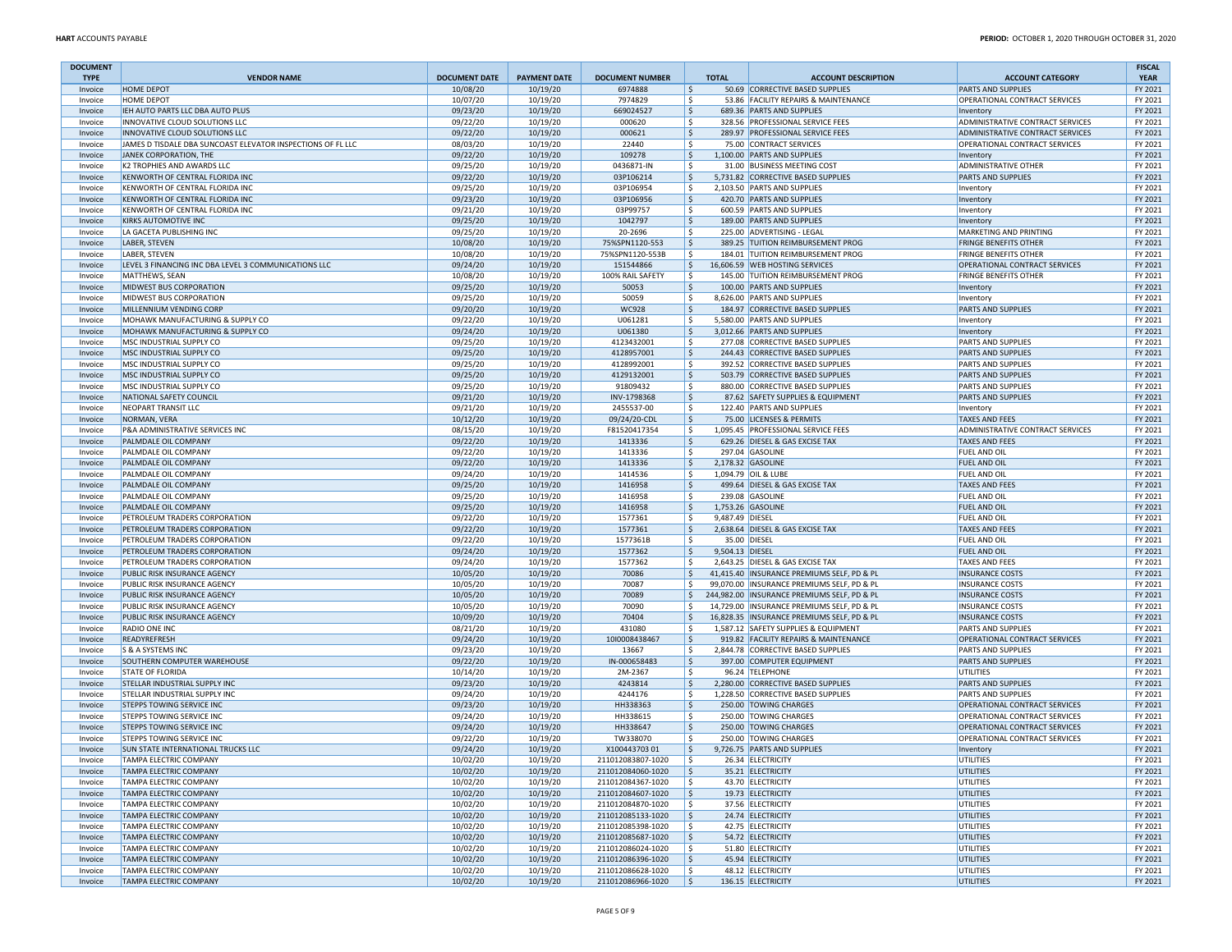| <b>DOCUMENT</b><br><b>TYPE</b> | <b>VENDOR NAME</b>                                                                    | <b>DOCUMENT DATE</b> | <b>PAYMENT DATE</b>  | <b>DOCUMENT NUMBER</b>                 | <b>TOTAL</b> | <b>ACCOUNT DESCRIPTION</b>                                                         | <b>ACCOUNT CATEGORY</b>                                        | <b>FISCAL</b><br><b>YEAR</b> |
|--------------------------------|---------------------------------------------------------------------------------------|----------------------|----------------------|----------------------------------------|--------------|------------------------------------------------------------------------------------|----------------------------------------------------------------|------------------------------|
| Invoice                        | <b>HOME DEPOT</b>                                                                     | 10/08/20             | 10/19/20             | 6974888                                | \$           | 50.69 CORRECTIVE BASED SUPPLIES                                                    | <b>PARTS AND SUPPLIES</b>                                      | FY 2021                      |
| Invoice                        | HOME DEPOT                                                                            | 10/07/20             | 10/19/20             | 7974829                                | -\$          | 53.86 FACILITY REPAIRS & MAINTENANCE                                               | OPERATIONAL CONTRACT SERVICES                                  | FY 2021                      |
| Invoice                        | IEH AUTO PARTS LLC DBA AUTO PLUS                                                      | 09/23/20             | 10/19/20             | 669024527                              | l\$          | 689.36 PARTS AND SUPPLIES                                                          | Inventory                                                      | FY 2021                      |
| Invoice                        | INNOVATIVE CLOUD SOLUTIONS LLC                                                        | 09/22/20             | 10/19/20             | 000620                                 | l \$         | 328.56 PROFESSIONAL SERVICE FEES                                                   | ADMINISTRATIVE CONTRACT SERVICES                               | FY 2021                      |
| Invoice                        | INNOVATIVE CLOUD SOLUTIONS LLC                                                        | 09/22/20             | 10/19/20             | 000621                                 | ۱\$          | 289.97 PROFESSIONAL SERVICE FEES                                                   | ADMINISTRATIVE CONTRACT SERVICES                               | FY 2021                      |
| Invoice<br>Invoice             | JAMES D TISDALE DBA SUNCOAST ELEVATOR INSPECTIONS OF FL LLC<br>JANEK CORPORATION, THE | 08/03/20<br>09/22/20 | 10/19/20<br>10/19/20 | 22440<br>109278                        | ۱\$<br>S,    | 75.00 CONTRACT SERVICES<br>1,100.00 PARTS AND SUPPLIES                             | OPERATIONAL CONTRACT SERVICES<br>Inventory                     | FY 2021<br>FY 2021           |
| Invoice                        | K2 TROPHIES AND AWARDS LLC                                                            | 09/25/20             | 10/19/20             | 0436871-IN                             | ۱\$.         | 31.00 BUSINESS MEETING COST                                                        | <b>ADMINISTRATIVE OTHER</b>                                    | FY 2021                      |
| Invoice                        | KENWORTH OF CENTRAL FLORIDA INC                                                       | 09/22/20             | 10/19/20             | 03P106214                              | ۱\$          | 5,731.82 CORRECTIVE BASED SUPPLIES                                                 | <b>PARTS AND SUPPLIES</b>                                      | FY 2021                      |
| Invoice                        | KENWORTH OF CENTRAL FLORIDA INC                                                       | 09/25/20             | 10/19/20             | 03P106954                              | ۱\$          | 2,103.50 PARTS AND SUPPLIES                                                        | Inventory                                                      | FY 2021                      |
| Invoice                        | KENWORTH OF CENTRAL FLORIDA INC                                                       | 09/23/20             | 10/19/20             | 03P106956                              | l\$          | 420.70 PARTS AND SUPPLIES                                                          | Inventory                                                      | FY 2021                      |
| Invoice                        | KENWORTH OF CENTRAL FLORIDA INC                                                       | 09/21/20             | 10/19/20             | 03P99757                               | \$           | 600.59 PARTS AND SUPPLIES                                                          | Inventory                                                      | FY 2021                      |
| Invoice                        | KIRKS AUTOMOTIVE INC                                                                  | 09/25/20             | 10/19/20             | 1042797                                | ۱\$          | 189.00 PARTS AND SUPPLIES                                                          | Inventory                                                      | FY 2021                      |
| Invoice<br>Invoice             | LA GACETA PUBLISHING INC                                                              | 09/25/20<br>10/08/20 | 10/19/20             | 20-2696<br>75%SPN1120-553              | l \$         | 225.00 ADVERTISING - LEGAL                                                         | MARKETING AND PRINTING                                         | FY 2021<br>FY 2021           |
| Invoice                        | LABER, STEVEN<br>LABER, STEVEN                                                        | 10/08/20             | 10/19/20<br>10/19/20 | 75%SPN1120-553B                        | \$<br>-\$    | 389.25 TUITION REIMBURSEMENT PROG<br>184.01 TUITION REIMBURSEMENT PROG             | <b>FRINGE BENEFITS OTHER</b><br><b>FRINGE BENEFITS OTHER</b>   | FY 2021                      |
| Invoice                        | LEVEL 3 FINANCING INC DBA LEVEL 3 COMMUNICATIONS LLC                                  | 09/24/20             | 10/19/20             | 151544866                              | \$           | 16,606.59 WEB HOSTING SERVICES                                                     | OPERATIONAL CONTRACT SERVICES                                  | FY 2021                      |
| Invoice                        | MATTHEWS, SEAN                                                                        | 10/08/20             | 10/19/20             | 100% RAIL SAFETY                       | l \$         | 145.00 TUITION REIMBURSEMENT PROG                                                  | <b>FRINGE BENEFITS OTHER</b>                                   | FY 2021                      |
| Invoice                        | <b>MIDWEST BUS CORPORATION</b>                                                        | 09/25/20             | 10/19/20             | 50053                                  | \$           | 100.00 PARTS AND SUPPLIES                                                          | Inventory                                                      | FY 2021                      |
| Invoice                        | MIDWEST BUS CORPORATION                                                               | 09/25/20             | 10/19/20             | 50059                                  | ۱\$          | 8,626.00 PARTS AND SUPPLIES                                                        | Inventory                                                      | FY 2021                      |
| Invoice                        | MILLENNIUM VENDING CORP                                                               | 09/20/20             | 10/19/20             | <b>WC928</b>                           | l \$         | 184.97 CORRECTIVE BASED SUPPLIES                                                   | <b>PARTS AND SUPPLIES</b>                                      | FY 2021                      |
| Invoice                        | MOHAWK MANUFACTURING & SUPPLY CO                                                      | 09/22/20             | 10/19/20             | U061281                                | l \$         | 5,580.00 PARTS AND SUPPLIES                                                        | Inventory                                                      | FY 2021                      |
| Invoice                        | MOHAWK MANUFACTURING & SUPPLY CO<br>MSC INDUSTRIAL SUPPLY CO                          | 09/24/20<br>09/25/20 | 10/19/20<br>10/19/20 | U061380<br>4123432001                  | ۱\$<br>-\$   | 3,012.66 PARTS AND SUPPLIES<br>277.08 CORRECTIVE BASED SUPPLIES                    | Inventory<br><b>PARTS AND SUPPLIES</b>                         | FY 2021<br>FY 2021           |
| Invoice<br>Invoice             | MSC INDUSTRIAL SUPPLY CO                                                              | 09/25/20             | 10/19/20             | 4128957001                             | l\$          | 244.43 CORRECTIVE BASED SUPPLIES                                                   | <b>PARTS AND SUPPLIES</b>                                      | FY 2021                      |
| Invoice                        | MSC INDUSTRIAL SUPPLY CO                                                              | 09/25/20             | 10/19/20             | 4128992001                             | -\$          | 392.52 CORRECTIVE BASED SUPPLIES                                                   | <b>PARTS AND SUPPLIES</b>                                      | FY 2021                      |
| Invoice                        | MSC INDUSTRIAL SUPPLY CO                                                              | 09/25/20             | 10/19/20             | 4129132001                             | ۱\$          | 503.79 CORRECTIVE BASED SUPPLIES                                                   | PARTS AND SUPPLIES                                             | FY 2021                      |
| Invoice                        | MSC INDUSTRIAL SUPPLY CO                                                              | 09/25/20             | 10/19/20             | 91809432                               | l \$         | 880.00 CORRECTIVE BASED SUPPLIES                                                   | PARTS AND SUPPLIES                                             | FY 2021                      |
| Invoice                        | NATIONAL SAFETY COUNCIL                                                               | 09/21/20             | 10/19/20             | INV-1798368                            | S,           | 87.62 SAFETY SUPPLIES & EQUIPMENT                                                  | <b>PARTS AND SUPPLIES</b>                                      | FY 2021                      |
| Invoice                        | NEOPART TRANSIT LLC                                                                   | 09/21/20             | 10/19/20             | 2455537-00                             | -\$          | 122.40 PARTS AND SUPPLIES                                                          | Inventory                                                      | FY 2021                      |
| Invoice                        | NORMAN, VERA                                                                          | 10/12/20             | 10/19/20             | 09/24/20-CDL                           | S,           | 75.00 LICENSES & PERMITS                                                           | <b>TAXES AND FEES</b>                                          | FY 2021                      |
| Invoice<br>Invoice             | P&A ADMINISTRATIVE SERVICES INC<br>PALMDALE OIL COMPANY                               | 08/15/20<br>09/22/20 | 10/19/20<br>10/19/20 | F81520417354<br>1413336                | ۱\$.<br>  \$ | 1,095.45 PROFESSIONAL SERVICE FEES<br>629.26 DIESEL & GAS EXCISE TAX               | ADMINISTRATIVE CONTRACT SERVICES<br><b>TAXES AND FEES</b>      | FY 2021<br>FY 2021           |
| Invoice                        | PALMDALE OIL COMPANY                                                                  | 09/22/20             | 10/19/20             | 1413336                                | -\$          | 297.04 GASOLINE                                                                    | <b>FUEL AND OIL</b>                                            | FY 2021                      |
| Invoice                        | PALMDALE OIL COMPANY                                                                  | 09/22/20             | 10/19/20             | 1413336                                | ۱\$          | 2,178.32 GASOLINE                                                                  | <b>FUEL AND OIL</b>                                            | FY 2021                      |
| Invoice                        | PALMDALE OIL COMPANY                                                                  | 09/24/20             | 10/19/20             | 1414536                                | l \$         | 1,094.79 OIL & LUBE                                                                | <b>FUEL AND OIL</b>                                            | FY 2021                      |
| Invoice                        | PALMDALE OIL COMPANY                                                                  | 09/25/20             | 10/19/20             | 1416958                                | S.           | 499.64 DIESEL & GAS EXCISE TAX                                                     | <b>TAXES AND FEES</b>                                          | FY 2021                      |
| Invoice                        | PALMDALE OIL COMPANY                                                                  | 09/25/20             | 10/19/20             | 1416958                                | -\$          | 239.08 GASOLINE                                                                    | <b>FUEL AND OIL</b>                                            | FY 2021                      |
| Invoice                        | PALMDALE OIL COMPANY                                                                  | 09/25/20             | 10/19/20             | 1416958                                | l \$         | 1,753.26 GASOLINE                                                                  | <b>FUEL AND OIL</b>                                            | FY 2021                      |
| Invoice                        | PETROLEUM TRADERS CORPORATION                                                         | 09/22/20             | 10/19/20             | 1577361                                | -\$          | 9,487.49 DIESEL                                                                    | <b>FUEL AND OIL</b>                                            | FY 2021                      |
| Invoice<br>Invoice             | PETROLEUM TRADERS CORPORATION<br>PETROLEUM TRADERS CORPORATION                        | 09/22/20<br>09/22/20 | 10/19/20<br>10/19/20 | 1577361<br>1577361B                    | ۱\$<br>۱\$   | 2,638.64 DIESEL & GAS EXCISE TAX<br>35.00 DIESEL                                   | <b>TAXES AND FEES</b><br><b>FUEL AND OIL</b>                   | FY 2021<br>FY 2021           |
| Invoice                        | PETROLEUM TRADERS CORPORATION                                                         | 09/24/20             | 10/19/20             | 1577362                                | l \$         | 9,504.13 DIESEL                                                                    | <b>FUEL AND OIL</b>                                            | FY 2021                      |
| Invoice                        | PETROLEUM TRADERS CORPORATION                                                         | 09/24/20             | 10/19/20             | 1577362                                | ۱\$          | 2,643.25 DIESEL & GAS EXCISE TAX                                                   | <b>TAXES AND FEES</b>                                          | FY 2021                      |
| Invoice                        | PUBLIC RISK INSURANCE AGENCY                                                          | 10/05/20             | 10/19/20             | 70086                                  | ۱\$          | 41,415.40 INSURANCE PREMIUMS SELF, PD & PL                                         | <b>INSURANCE COSTS</b>                                         | FY 2021                      |
| Invoice                        | PUBLIC RISK INSURANCE AGENCY                                                          | 10/05/20             | 10/19/20             | 70087                                  | Ŝ.           | 99,070.00 INSURANCE PREMIUMS SELF, PD & PL                                         | <b>INSURANCE COSTS</b>                                         | FY 2021                      |
| Invoice                        | PUBLIC RISK INSURANCE AGENCY                                                          | 10/05/20             | 10/19/20             | 70089                                  | \$.          | 244,982.00 INSURANCE PREMIUMS SELF, PD & PL                                        | <b>INSURANCE COSTS</b>                                         | FY 2021                      |
| Invoice                        | PUBLIC RISK INSURANCE AGENCY                                                          | 10/05/20             | 10/19/20             | 70090                                  | .s           | 14,729.00 INSURANCE PREMIUMS SELF, PD & PL                                         | <b>INSURANCE COSTS</b>                                         | FY 2021                      |
| Invoice<br>Invoice             | PUBLIC RISK INSURANCE AGENCY<br>RADIO ONE INC                                         | 10/09/20<br>08/21/20 | 10/19/20<br>10/19/20 | 70404<br>431080                        | ۱\$<br>l \$  | 16,828.35 INSURANCE PREMIUMS SELF, PD & PL<br>1,587.12 SAFETY SUPPLIES & EQUIPMENT | <b>INSURANCE COSTS</b><br>PARTS AND SUPPLIES                   | FY 2021<br>FY 2021           |
| Invoice                        | READYREFRESH                                                                          | 09/24/20             | 10/19/20             | 1010008438467                          | ۱\$          | 919.82 FACILITY REPAIRS & MAINTENANCE                                              | OPERATIONAL CONTRACT SERVICES                                  | FY 2021                      |
| Invoice                        | S & A SYSTEMS INC                                                                     | 09/23/20             | 10/19/20             | 13667                                  | -\$          | 2,844.78 CORRECTIVE BASED SUPPLIES                                                 | <b>PARTS AND SUPPLIES</b>                                      | FY 2021                      |
| Invoice                        | SOUTHERN COMPUTER WAREHOUSE                                                           | 09/22/20             | 10/19/20             | IN-000658483                           | l\$          | 397.00 COMPUTER EQUIPMENT                                                          | PARTS AND SUPPLIES                                             | FY 2021                      |
| Invoice                        | <b>STATE OF FLORIDA</b>                                                               | 10/14/20             | 10/19/20             | 2M-2367                                | -\$          | 96.24 TELEPHONE                                                                    | UTILITIES                                                      | FY 2021                      |
| Invoice                        | STELLAR INDUSTRIAL SUPPLY INC                                                         | 09/23/20             | 10/19/20             | 4243814                                | ۱\$          | 2,280.00 CORRECTIVE BASED SUPPLIES                                                 | <b>PARTS AND SUPPLIES</b>                                      | FY 2021                      |
| Invoice                        | STELLAR INDUSTRIAL SUPPLY INC                                                         | 09/24/20             | 10/19/20             | 4244176                                | ۱\$          | 1,228.50 CORRECTIVE BASED SUPPLIES                                                 | <b>PARTS AND SUPPLIES</b>                                      | FY 2021                      |
| Invoice<br>Invoice             | STEPPS TOWING SERVICE INC<br>STEPPS TOWING SERVICE INC                                | 09/23/20<br>09/24/20 | 10/19/20<br>10/19/20 | HH338363<br>HH338615                   | ۱\$<br>l \$  | 250.00 TOWING CHARGES<br>250.00 TOWING CHARGES                                     | OPERATIONAL CONTRACT SERVICES<br>OPERATIONAL CONTRACT SERVICES | FY 2021<br>FY 2021           |
| Invoice                        | STEPPS TOWING SERVICE INC                                                             | 09/24/20             | 10/19/20             | HH338647                               | -Ś           | 250.00 TOWING CHARGES                                                              | <b>OPERATIONAL CONTRACT SERVICES</b>                           | FY 2021                      |
| Invoice                        | <b>STEPPS TOWING SERVICE INC</b>                                                      | 09/22/20             | 10/19/20             | TW338070                               | Ŝ.           | 250.00 TOWING CHARGES                                                              | OPERATIONAL CONTRACT SERVICES                                  | FY 2021                      |
| Invoice                        | <b>SUN STATE INTERNATIONAL TRUCKS LLC</b>                                             | 09/24/20             | 10/19/20             | X10044370301                           | <sub>S</sub> | 9,726.75 PARTS AND SUPPLIES                                                        | Inventory                                                      | FY 2021                      |
| Invoice                        | TAMPA ELECTRIC COMPANY                                                                | 10/02/20             | 10/19/20             | 211012083807-1020                      | ١s           | 26.34 ELECTRICITY                                                                  | UTILITIES                                                      | FY 2021                      |
| Invoice                        | TAMPA ELECTRIC COMPANY                                                                | 10/02/20             | 10/19/20             | 211012084060-1020                      | S,           | 35.21 ELECTRICITY                                                                  | <b>UTILITIES</b>                                               | FY 2021                      |
| Invoice                        | <b>TAMPA ELECTRIC COMPANY</b>                                                         | 10/02/20             | 10/19/20             | 211012084367-1020                      | I\$.         | 43.70 ELECTRICITY                                                                  | UTILITIES                                                      | FY 2021                      |
| Invoice                        | TAMPA ELECTRIC COMPANY                                                                | 10/02/20             | 10/19/20             | 211012084607-1020                      | S.           | 19.73 ELECTRICITY                                                                  | <b>UTILITIES</b>                                               | FY 2021                      |
| Invoice<br>Invoice             | TAMPA ELECTRIC COMPANY<br>TAMPA ELECTRIC COMPANY                                      | 10/02/20<br>10/02/20 | 10/19/20<br>10/19/20 | 211012084870-1020<br>211012085133-1020 | l\$<br>۱\$   | 37.56 ELECTRICITY<br>24.74 ELECTRICITY                                             | <b>UTILITIES</b><br><b>UTILITIES</b>                           | FY 2021<br>FY 2021           |
| Invoice                        | TAMPA ELECTRIC COMPANY                                                                | 10/02/20             | 10/19/20             | 211012085398-1020                      | I\$          | 42.75 ELECTRICITY                                                                  | UTILITIES                                                      | FY 2021                      |
| Invoice                        | <b>TAMPA ELECTRIC COMPANY</b>                                                         | 10/02/20             | 10/19/20             | 211012085687-1020                      | l\$          | 54.72 ELECTRICITY                                                                  | UTILITIES                                                      | FY 2021                      |
| Invoice                        | TAMPA ELECTRIC COMPANY                                                                | 10/02/20             | 10/19/20             | 211012086024-1020                      | l \$         | 51.80 ELECTRICITY                                                                  | UTILITIES                                                      | FY 2021                      |
| Invoice                        | TAMPA ELECTRIC COMPANY                                                                | 10/02/20             | 10/19/20             | 211012086396-1020                      | l \$         | 45.94 ELECTRICITY                                                                  | UTILITIES                                                      | FY 2021                      |
| Invoice                        | TAMPA ELECTRIC COMPANY                                                                | 10/02/20             | 10/19/20             | 211012086628-1020                      | ١\$          | 48.12 ELECTRICITY                                                                  | UTILITIES                                                      | FY 2021                      |
| Invoice                        | <b>TAMPA ELECTRIC COMPANY</b>                                                         | 10/02/20             | 10/19/20             | 211012086966-1020                      | l\$          | 136.15 ELECTRICITY                                                                 | UTILITIES                                                      | FY 2021                      |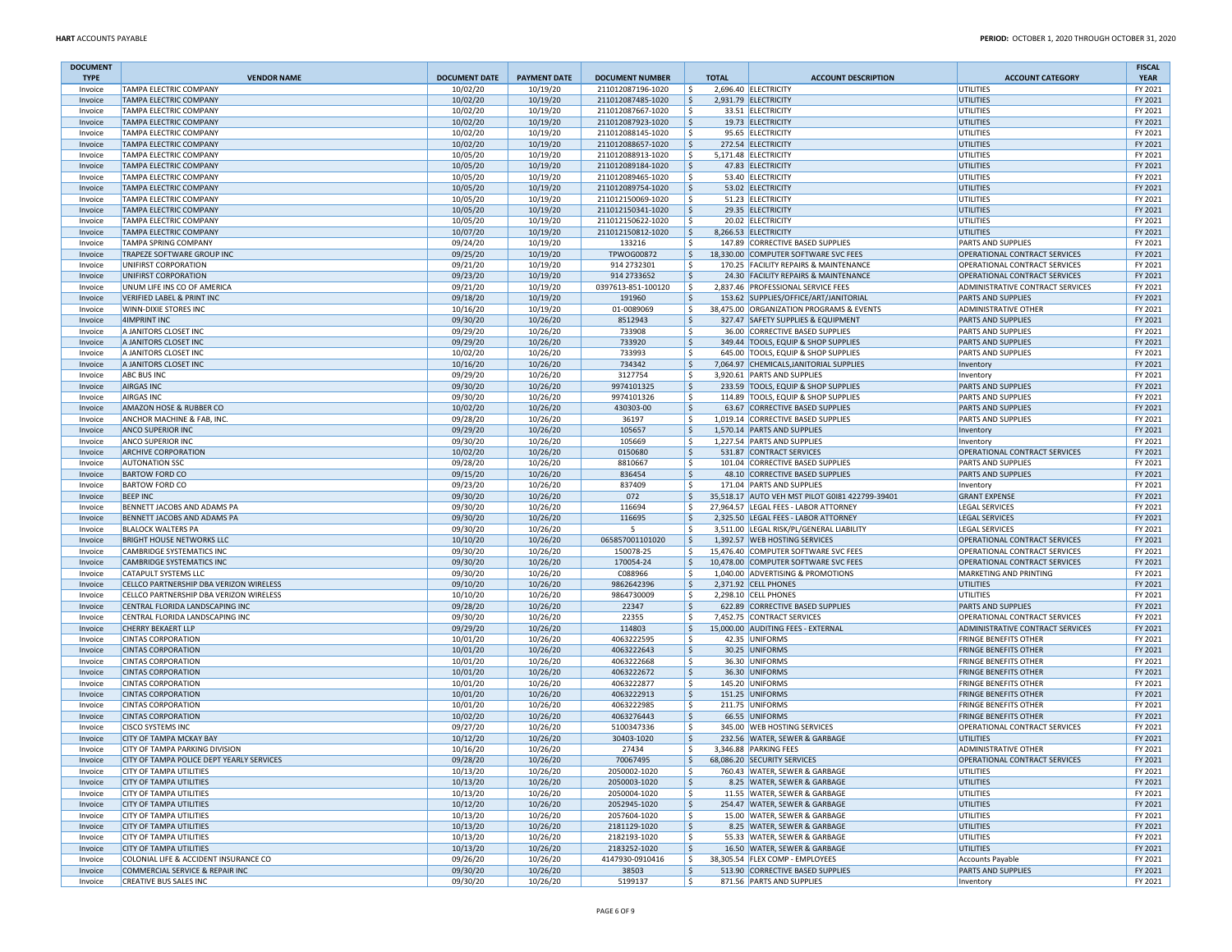| <b>DOCUMENT</b><br><b>TYPE</b> | <b>VENDOR NAME</b>                                                      | <b>DOCUMENT DATE</b> | <b>PAYMENT DATE</b>  | <b>DOCUMENT NUMBER</b>                 | <b>TOTAL</b>       | <b>ACCOUNT DESCRIPTION</b>                                                   | <b>ACCOUNT CATEGORY</b>                                        | <b>FISCAL</b><br><b>YEAR</b> |
|--------------------------------|-------------------------------------------------------------------------|----------------------|----------------------|----------------------------------------|--------------------|------------------------------------------------------------------------------|----------------------------------------------------------------|------------------------------|
| Invoice                        | TAMPA ELECTRIC COMPANY                                                  | 10/02/20             | 10/19/20             | 211012087196-1020                      | s.                 | 2,696.40 ELECTRICITY                                                         | UTILITIES                                                      | FY 2021                      |
| Invoice                        | <b>TAMPA ELECTRIC COMPANY</b>                                           | 10/02/20             | 10/19/20             | 211012087485-1020                      | $\zeta$            | 2,931.79 ELECTRICITY                                                         | <b>UTILITIES</b>                                               | FY 2021                      |
| Invoice                        | TAMPA ELECTRIC COMPANY                                                  | 10/02/20             | 10/19/20             | 211012087667-1020                      | -\$                | 33.51 ELECTRICITY                                                            | UTILITIES                                                      | FY 2021                      |
| Invoice                        | TAMPA ELECTRIC COMPANY                                                  | 10/02/20             | 10/19/20             | 211012087923-1020                      | \$                 | 19.73 ELECTRICITY                                                            | <b>UTILITIES</b>                                               | FY 2021                      |
| Invoice                        | TAMPA ELECTRIC COMPANY<br>TAMPA ELECTRIC COMPANY                        | 10/02/20             | 10/19/20             | 211012088145-1020                      | -\$                | 95.65 ELECTRICITY                                                            | UTILITIES                                                      | FY 2021                      |
| Invoice<br>Invoice             | TAMPA ELECTRIC COMPANY                                                  | 10/02/20<br>10/05/20 | 10/19/20<br>10/19/20 | 211012088657-1020<br>211012088913-1020 | $\zeta$<br>s.      | 272.54 ELECTRICITY<br>5,171.48 ELECTRICITY                                   | UTILITIES<br>UTILITIES                                         | FY 2021<br>FY 2021           |
| Invoice                        | <b>TAMPA ELECTRIC COMPANY</b>                                           | 10/05/20             | 10/19/20             | 211012089184-1020                      | \$                 | 47.83 ELECTRICITY                                                            | <b>UTILITIES</b>                                               | FY 2021                      |
| Invoice                        | TAMPA ELECTRIC COMPANY                                                  | 10/05/20             | 10/19/20             | 211012089465-1020                      | Ŝ.                 | 53.40 ELECTRICITY                                                            | UTILITIES                                                      | FY 2021                      |
| Invoice                        | TAMPA ELECTRIC COMPANY                                                  | 10/05/20             | 10/19/20             | 211012089754-1020                      | $\zeta$            | 53.02 ELECTRICITY                                                            | UTILITIES                                                      | FY 2021                      |
| Invoice                        | TAMPA ELECTRIC COMPANY                                                  | 10/05/20             | 10/19/20             | 211012150069-1020                      | s.                 | 51.23 ELECTRICITY                                                            | <b>UTILITIES</b>                                               | FY 2021                      |
| Invoice                        | <b>TAMPA ELECTRIC COMPANY</b>                                           | 10/05/20             | 10/19/20             | 211012150341-1020                      | $\zeta$            | 29.35 ELECTRICITY                                                            | UTILITIES                                                      | FY 2021                      |
| Invoice                        | TAMPA ELECTRIC COMPANY                                                  | 10/05/20             | 10/19/20             | 211012150622-1020                      | \$                 | 20.02 ELECTRICITY                                                            | UTILITIES                                                      | FY 2021                      |
| Invoice                        | <b>TAMPA ELECTRIC COMPANY</b>                                           | 10/07/20             | 10/19/20             | 211012150812-1020                      | S.                 | 8,266.53 ELECTRICITY                                                         | UTILITIES                                                      | FY 2021                      |
| Invoice<br>Invoice             | TAMPA SPRING COMPANY<br>TRAPEZE SOFTWARE GROUP INC                      | 09/24/20<br>09/25/20 | 10/19/20<br>10/19/20 | 133216<br>TPWOG00872                   | \$.<br>\$          | 147.89 CORRECTIVE BASED SUPPLIES<br>18,330.00 COMPUTER SOFTWARE SVC FEES     | <b>PARTS AND SUPPLIES</b><br>OPERATIONAL CONTRACT SERVICES     | FY 2021<br>FY 2021           |
| Invoice                        | UNIFIRST CORPORATION                                                    | 09/21/20             | 10/19/20             | 914 273 2301                           | \$                 | 170.25 FACILITY REPAIRS & MAINTENANCE                                        | OPERATIONAL CONTRACT SERVICES                                  | FY 2021                      |
| Invoice                        | UNIFIRST CORPORATION                                                    | 09/23/20             | 10/19/20             | 914 2733652                            | \$                 | 24.30 FACILITY REPAIRS & MAINTENANCE                                         | OPERATIONAL CONTRACT SERVICES                                  | FY 2021                      |
| Invoice                        | UNUM LIFE INS CO OF AMERICA                                             | 09/21/20             | 10/19/20             | 0397613-851-100120                     | -\$                | 2,837.46 PROFESSIONAL SERVICE FEES                                           | ADMINISTRATIVE CONTRACT SERVICES                               | FY 2021                      |
| Invoice                        | VERIFIED LABEL & PRINT INC                                              | 09/18/20             | 10/19/20             | 191960                                 | \$                 | 153.62 SUPPLIES/OFFICE/ART/JANITORIAL                                        | PARTS AND SUPPLIES                                             | FY 2021                      |
| Invoice                        | WINN-DIXIE STORES INC                                                   | 10/16/20             | 10/19/20             | 01-0089069                             | \$.                | 38,475.00 ORGANIZATION PROGRAMS & EVENTS                                     | <b>ADMINISTRATIVE OTHER</b>                                    | FY 2021                      |
| Invoice                        | 4IMPRINT INC                                                            | 09/30/20             | 10/26/20             | 8512943                                | \$                 | 327.47 SAFETY SUPPLIES & EQUIPMENT                                           | <b>PARTS AND SUPPLIES</b>                                      | FY 2021                      |
| Invoice                        | A JANITORS CLOSET INC                                                   | 09/29/20             | 10/26/20             | 733908                                 | \$                 | 36.00 CORRECTIVE BASED SUPPLIES                                              | <b>PARTS AND SUPPLIES</b>                                      | FY 2021                      |
| Invoice<br>Invoice             | A JANITORS CLOSET INC<br>A JANITORS CLOSET INC                          | 09/29/20<br>10/02/20 | 10/26/20<br>10/26/20 | 733920<br>733993                       | \$<br>S.           | 349.44 TOOLS, EQUIP & SHOP SUPPLIES<br>645.00 TOOLS, EQUIP & SHOP SUPPLIES   | PARTS AND SUPPLIES                                             | FY 2021<br>FY 2021           |
| Invoice                        | A JANITORS CLOSET INC                                                   | 10/16/20             | 10/26/20             | 734342                                 | $\zeta$            | 7,064.97 CHEMICALS, JANITORIAL SUPPLIES                                      | <b>PARTS AND SUPPLIES</b><br>Inventory                         | FY 2021                      |
| Invoice                        | <b>ABC BUS INC</b>                                                      | 09/29/20             | 10/26/20             | 3127754                                | \$                 | 3,920.61 PARTS AND SUPPLIES                                                  | Inventory                                                      | FY 2021                      |
| Invoice                        | <b>AIRGAS INC</b>                                                       | 09/30/20             | 10/26/20             | 9974101325                             | l\$                | 233.59 TOOLS, EQUIP & SHOP SUPPLIES                                          | PARTS AND SUPPLIES                                             | FY 2021                      |
| Invoice                        | <b>AIRGAS INC</b>                                                       | 09/30/20             | 10/26/20             | 9974101326                             | \$                 | 114.89 TOOLS, EQUIP & SHOP SUPPLIES                                          | <b>PARTS AND SUPPLIES</b>                                      | FY 2021                      |
| Invoice                        | AMAZON HOSE & RUBBER CO                                                 | 10/02/20             | 10/26/20             | 430303-00                              | \$                 | 63.67 CORRECTIVE BASED SUPPLIES                                              | <b>PARTS AND SUPPLIES</b>                                      | FY 2021                      |
| Invoice                        | ANCHOR MACHINE & FAB, INC.                                              | 09/28/20             | 10/26/20             | 36197                                  | \$                 | 1,019.14 CORRECTIVE BASED SUPPLIES                                           | PARTS AND SUPPLIES                                             | FY 2021                      |
| Invoice                        | <b>ANCO SUPERIOR INC</b>                                                | 09/29/20             | 10/26/20             | 105657                                 | $\zeta$            | 1,570.14 PARTS AND SUPPLIES                                                  | Inventory                                                      | FY 2021                      |
| Invoice                        | <b>ANCO SUPERIOR INC</b>                                                | 09/30/20             | 10/26/20             | 105669                                 | -\$                | 1,227.54 PARTS AND SUPPLIES                                                  | Inventory                                                      | FY 2021                      |
| Invoice                        | <b>ARCHIVE CORPORATION</b>                                              | 10/02/20             | 10/26/20             | 0150680                                | \$                 | 531.87 CONTRACT SERVICES                                                     | OPERATIONAL CONTRACT SERVICES                                  | FY 2021<br>FY 2021           |
| Invoice<br>Invoice             | <b>AUTONATION SSC</b><br><b>BARTOW FORD CO</b>                          | 09/28/20<br>09/15/20 | 10/26/20<br>10/26/20 | 8810667<br>836454                      | \$<br>$\mathsf{S}$ | 101.04 CORRECTIVE BASED SUPPLIES<br>48.10 CORRECTIVE BASED SUPPLIES          | <b>PARTS AND SUPPLIES</b><br><b>PARTS AND SUPPLIES</b>         | FY 2021                      |
| Invoice                        | <b>BARTOW FORD CO</b>                                                   | 09/23/20             | 10/26/20             | 837409                                 | Ŝ.                 | 171.04 PARTS AND SUPPLIES                                                    | Inventory                                                      | FY 2021                      |
| Invoice                        | <b>BEEP INC</b>                                                         | 09/30/20             | 10/26/20             | 072                                    | $\zeta$            | 35,518.17 AUTO VEH MST PILOT G0181 422799-39401                              | <b>GRANT EXPENSE</b>                                           | FY 2021                      |
| Invoice                        | BENNETT JACOBS AND ADAMS PA                                             | 09/30/20             | 10/26/20             | 116694                                 | \$                 | 27,964.57 LEGAL FEES - LABOR ATTORNEY                                        | <b>LEGAL SERVICES</b>                                          | FY 2021                      |
| Invoice                        | BENNETT JACOBS AND ADAMS PA                                             | 09/30/20             | 10/26/20             | 116695                                 | \$                 | 2,325.50 LEGAL FEES - LABOR ATTORNEY                                         | <b>LEGAL SERVICES</b>                                          | FY 2021                      |
| Invoice                        | <b>BLALOCK WALTERS PA</b>                                               | 09/30/20             | 10/26/20             | 5                                      | \$.                | 3,511.00 LEGAL RISK/PL/GENERAL LIABILITY                                     | <b>LEGAL SERVICES</b>                                          | FY 2021                      |
| Invoice                        | <b>BRIGHT HOUSE NETWORKS LLC</b>                                        | 10/10/20             | 10/26/20             | 065857001101020                        | \$                 | 1,392.57 WEB HOSTING SERVICES                                                | OPERATIONAL CONTRACT SERVICES                                  | FY 2021                      |
| Invoice<br>Invoice             | CAMBRIDGE SYSTEMATICS INC<br><b>CAMBRIDGE SYSTEMATICS INC</b>           | 09/30/20<br>09/30/20 | 10/26/20<br>10/26/20 | 150078-25<br>170054-24                 | \$.<br>\$          | 15,476.40 COMPUTER SOFTWARE SVC FEES<br>10,478.00 COMPUTER SOFTWARE SVC FEES | OPERATIONAL CONTRACT SERVICES<br>OPERATIONAL CONTRACT SERVICES | FY 2021<br>FY 2021           |
| Invoice                        | <b>CATAPULT SYSTEMS LLC</b>                                             | 09/30/20             | 10/26/20             | C088966                                | \$                 | 1,040.00 ADVERTISING & PROMOTIONS                                            | MARKETING AND PRINTING                                         | FY 2021                      |
| Invoice                        | CELLCO PARTNERSHIP DBA VERIZON WIRELESS                                 | 09/10/20             | 10/26/20             | 9862642396                             | $\zeta$            | 2,371.92 CELL PHONES                                                         | <b>UTILITIES</b>                                               | FY 2021                      |
| Invoice                        | CELLCO PARTNERSHIP DBA VERIZON WIRELESS                                 | 10/10/20             | 10/26/20             | 9864730009                             | -\$                | 2,298.10 CELL PHONES                                                         | UTILITIES                                                      | FY 2021                      |
| Invoice                        | CENTRAL FLORIDA LANDSCAPING INC                                         | 09/28/20             | 10/26/20             | 22347                                  | $\zeta$            | 622.89 CORRECTIVE BASED SUPPLIES                                             | <b>PARTS AND SUPPLIES</b>                                      | FY 2021                      |
| Invoice                        | CENTRAL FLORIDA LANDSCAPING INC                                         | 09/30/20             | 10/26/20             | 22355                                  | \$.                | 7,452.75 CONTRACT SERVICES                                                   | OPERATIONAL CONTRACT SERVICES                                  | FY 2021                      |
| Invoice                        | CHERRY BEKAERT LLP                                                      | 09/29/20             | 10/26/20             | 114803                                 | \$                 | 15,000.00 AUDITING FEES - EXTERNAL                                           | ADMINISTRATIVE CONTRACT SERVICES                               | FY 2021                      |
| Invoice                        | <b>CINTAS CORPORATION</b>                                               | 10/01/20             | 10/26/20             | 4063222595                             | \$                 | 42.35 UNIFORMS                                                               | <b>FRINGE BENEFITS OTHER</b>                                   | FY 2021                      |
| Invoice<br>Invoice             | <b>CINTAS CORPORATION</b><br><b>CINTAS CORPORATION</b>                  | 10/01/20<br>10/01/20 | 10/26/20<br>10/26/20 | 4063222643<br>4063222668               | $\zeta$<br>S.      | 30.25 UNIFORMS<br>36.30 UNIFORMS                                             | <b>FRINGE BENEFITS OTHER</b><br><b>FRINGE BENEFITS OTHER</b>   | FY 2021<br>FY 2021           |
| Invoice                        | <b>CINTAS CORPORATION</b>                                               | 10/01/20             | 10/26/20             | 4063222672                             | \$                 | 36.30 UNIFORMS                                                               | <b>FRINGE BENEFITS OTHER</b>                                   | FY 2021                      |
| Invoice                        | <b>CINTAS CORPORATION</b>                                               | 10/01/20             | 10/26/20             | 4063222877                             | -\$                | 145.20 UNIFORMS                                                              | <b>FRINGE BENEFITS OTHER</b>                                   | FY 2021                      |
| Invoice                        | <b>CINTAS CORPORATION</b>                                               | 10/01/20             | 10/26/20             | 4063222913                             | \$                 | 151.25 UNIFORMS                                                              | <b>FRINGE BENEFITS OTHER</b>                                   | FY 2021                      |
| Invoice                        | <b>CINTAS CORPORATION</b>                                               | 10/01/20             | 10/26/20             | 4063222985                             | \$                 | 211.75 UNIFORMS                                                              | <b>FRINGE BENEFITS OTHER</b>                                   | FY 2021                      |
| Invoice                        | <b>CINTAS CORPORATION</b>                                               | 10/02/20             | 10/26/20             | 4063276443                             | \$                 | 66.55 UNIFORMS                                                               | <b>FRINGE BENEFITS OTHER</b>                                   | FY 2021                      |
| Invoice                        | <b>CISCO SYSTEMS INC</b>                                                | 09/27/20             | 10/26/20             | 5100347336                             | Ŝ.                 | 345.00 WEB HOSTING SERVICES                                                  | OPERATIONAL CONTRACT SERVICES                                  | FY 2021                      |
| Invoice                        | <b>CITY OF TAMPA MCKAY BAY</b><br><b>CITY OF TAMPA PARKING DIVISION</b> | 10/12/20<br>10/16/20 | 10/26/20<br>10/26/20 | 30403-1020<br>27434                    | $\mathsf{S}$       | 232.56 WATER, SEWER & GARBAGE<br>3.346.88 PARKING FEES                       | <b>UTILITIES</b><br><b>ADMINISTRATIVE OTHER</b>                | FY 2021<br>FY 2021           |
| Invoice<br>Invoice             | CITY OF TAMPA POLICE DEPT YEARLY SERVICES                               | 09/28/20             | 10/26/20             | 70067495                               | s.<br>\$           | 68,086.20 SECURITY SERVICES                                                  | OPERATIONAL CONTRACT SERVICES                                  | FY 2021                      |
| Invoice                        | CITY OF TAMPA UTILITIES                                                 | 10/13/20             | 10/26/20             | 2050002-1020                           | \$                 | 760.43 WATER, SEWER & GARBAGE                                                | UTILITIES                                                      | FY 2021                      |
| Invoice                        | <b>CITY OF TAMPA UTILITIES</b>                                          | 10/13/20             | 10/26/20             | 2050003-1020                           | S.                 | 8.25 WATER, SEWER & GARBAGE                                                  | <b>UTILITIES</b>                                               | FY 2021                      |
| Invoice                        | <b>CITY OF TAMPA UTILITIES</b>                                          | 10/13/20             | 10/26/20             | 2050004-1020                           | \$.                | 11.55 WATER, SEWER & GARBAGE                                                 | UTILITIES                                                      | FY 2021                      |
| Invoice                        | <b>CITY OF TAMPA UTILITIES</b>                                          | 10/12/20             | 10/26/20             | 2052945-1020                           | \$                 | 254.47 WATER, SEWER & GARBAGE                                                | <b>UTILITIES</b>                                               | FY 2021                      |
| Invoice                        | <b>CITY OF TAMPA UTILITIES</b>                                          | 10/13/20             | 10/26/20             | 2057604-1020                           | \$                 | 15.00 WATER, SEWER & GARBAGE                                                 | UTILITIES                                                      | FY 2021                      |
| Invoice                        | <b>CITY OF TAMPA UTILITIES</b>                                          | 10/13/20             | 10/26/20             | 2181129-1020                           | \$                 | 8.25 WATER, SEWER & GARBAGE                                                  | <b>UTILITIES</b>                                               | FY 2021                      |
| Invoice                        | <b>CITY OF TAMPA UTILITIES</b>                                          | 10/13/20             | 10/26/20             | 2182193-1020<br>2183252-1020           | -\$                | 55.33 WATER, SEWER & GARBAGE                                                 | UTILITIES                                                      | FY 2021                      |
| Invoice<br>Invoice             | <b>CITY OF TAMPA UTILITIES</b><br>COLONIAL LIFE & ACCIDENT INSURANCE CO | 10/13/20<br>09/26/20 | 10/26/20<br>10/26/20 | 4147930-0910416                        | \$<br>\$.          | 16.50 WATER, SEWER & GARBAGE<br>38,305.54 FLEX COMP - EMPLOYEES              | <b>UTILITIES</b><br><b>Accounts Payable</b>                    | FY 2021<br>FY 2021           |
| Invoice                        | COMMERCIAL SERVICE & REPAIR INC                                         | 09/30/20             | 10/26/20             | 38503                                  | \$                 | 513.90 CORRECTIVE BASED SUPPLIES                                             | <b>PARTS AND SUPPLIES</b>                                      | FY 2021                      |
| Invoice                        | CREATIVE BUS SALES INC                                                  | 09/30/20             | 10/26/20             | 5199137                                | \$                 | 871.56 PARTS AND SUPPLIES                                                    | Inventory                                                      | FY 2021                      |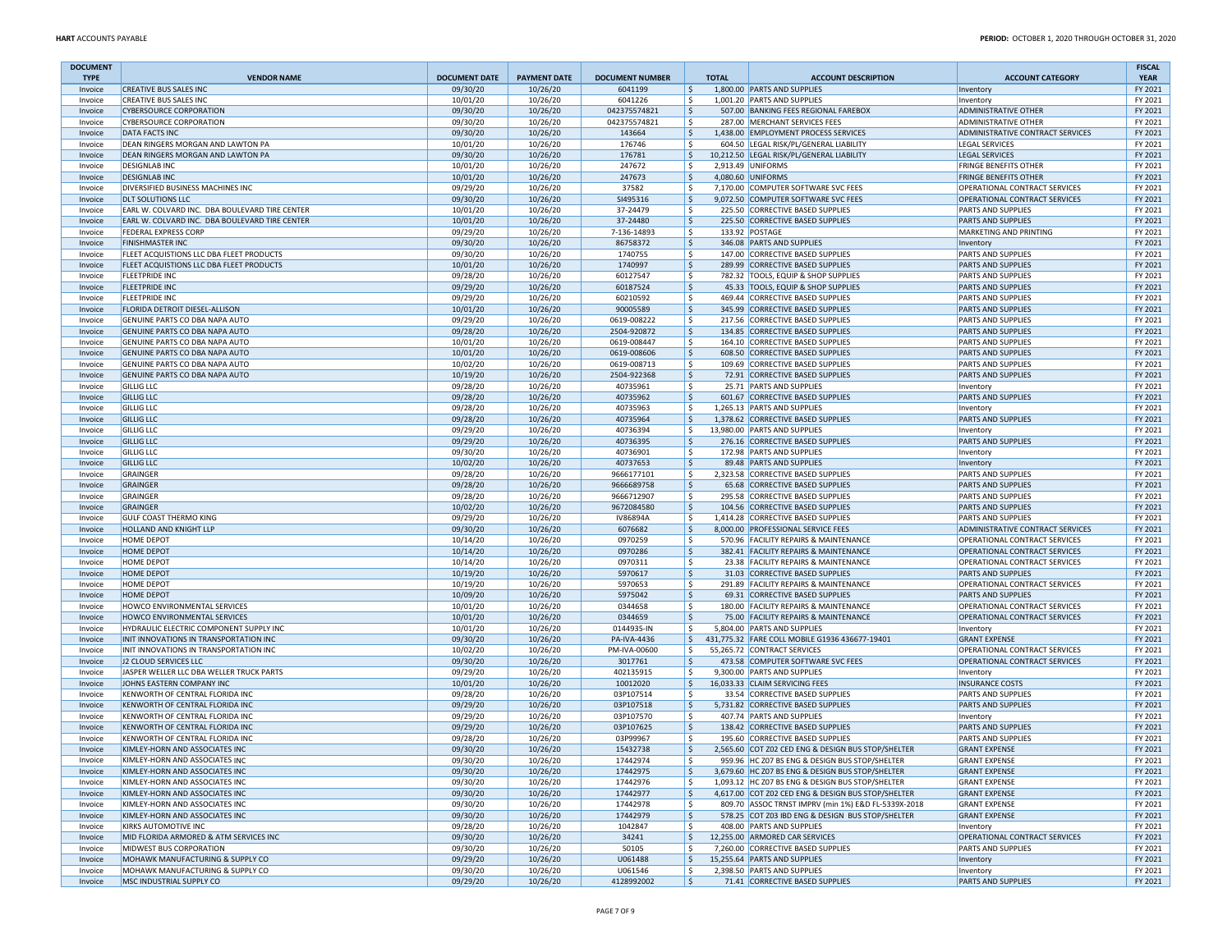| <b>DOCUMENT</b><br><b>TYPE</b> | <b>VENDOR NAME</b>                                                     | <b>DOCUMENT DATE</b> | <b>PAYMENT DATE</b>  | <b>DOCUMENT NUMBER</b>   | <b>TOTAL</b> | <b>ACCOUNT DESCRIPTION</b>                                                          | <b>ACCOUNT CATEGORY</b>                                    | <b>FISCAL</b><br><b>YEAR</b> |
|--------------------------------|------------------------------------------------------------------------|----------------------|----------------------|--------------------------|--------------|-------------------------------------------------------------------------------------|------------------------------------------------------------|------------------------------|
| Invoice                        | <b>CREATIVE BUS SALES INC</b>                                          | 09/30/20             | 10/26/20             | 6041199                  | \$           | 1,800.00 PARTS AND SUPPLIES                                                         | Inventory                                                  | FY 2021                      |
| Invoice                        | <b>CREATIVE BUS SALES INC</b>                                          | 10/01/20             | 10/26/20             | 6041226                  | \$           | 1,001.20 PARTS AND SUPPLIES                                                         | Inventory                                                  | FY 2021                      |
| Invoice                        | <b>CYBERSOURCE CORPORATION</b>                                         | 09/30/20             | 10/26/20             | 042375574821             | S,           | 507.00 BANKING FEES REGIONAL FAREBOX                                                | <b>ADMINISTRATIVE OTHER</b>                                | FY 2021                      |
| Invoice                        | <b>CYBERSOURCE CORPORATION</b>                                         | 09/30/20             | 10/26/20             | 042375574821             | ۱\$.         | 287.00 MERCHANT SERVICES FEES                                                       | <b>ADMINISTRATIVE OTHER</b>                                | FY 2021                      |
| Invoice                        | <b>DATA FACTS INC</b>                                                  | 09/30/20             | 10/26/20             | 143664                   | \$           | 1,438.00 EMPLOYMENT PROCESS SERVICES                                                | ADMINISTRATIVE CONTRACT SERVICES                           | FY 2021                      |
| Invoice                        | DEAN RINGERS MORGAN AND LAWTON PA<br>DEAN RINGERS MORGAN AND LAWTON PA | 10/01/20             | 10/26/20             | 176746<br>176781         | l\$          | 604.50 LEGAL RISK/PL/GENERAL LIABILITY<br>10,212.50 LEGAL RISK/PL/GENERAL LIABILITY | LEGAL SERVICES<br><b>LEGAL SERVICES</b>                    | FY 2021                      |
| Invoice<br>Invoice             | <b>DESIGNLAB INC</b>                                                   | 09/30/20<br>10/01/20 | 10/26/20<br>10/26/20 | 247672                   | l \$<br>\$   | 2,913.49 UNIFORMS                                                                   | <b>FRINGE BENEFITS OTHER</b>                               | FY 2021<br>FY 2021           |
| Invoice                        | <b>DESIGNLAB INC</b>                                                   | 10/01/20             | 10/26/20             | 247673                   | S,           | 4,080.60 UNIFORMS                                                                   | <b>FRINGE BENEFITS OTHER</b>                               | FY 2021                      |
| Invoice                        | DIVERSIFIED BUSINESS MACHINES INC                                      | 09/29/20             | 10/26/20             | 37582                    | l \$         | 7,170.00 COMPUTER SOFTWARE SVC FEES                                                 | OPERATIONAL CONTRACT SERVICES                              | FY 2021                      |
| Invoice                        | <b>DLT SOLUTIONS LLC</b>                                               | 09/30/20             | 10/26/20             | SI495316                 | S.           | 9,072.50 COMPUTER SOFTWARE SVC FEES                                                 | OPERATIONAL CONTRACT SERVICES                              | FY 2021                      |
| Invoice                        | EARL W. COLVARD INC. DBA BOULEVARD TIRE CENTER                         | 10/01/20             | 10/26/20             | 37-24479                 | l\$          | 225.50 CORRECTIVE BASED SUPPLIES                                                    | <b>PARTS AND SUPPLIES</b>                                  | FY 2021                      |
| Invoice                        | EARL W. COLVARD INC. DBA BOULEVARD TIRE CENTER                         | 10/01/20             | 10/26/20             | 37-24480                 | \$           | 225.50 CORRECTIVE BASED SUPPLIES                                                    | <b>PARTS AND SUPPLIES</b>                                  | FY 2021                      |
| Invoice                        | <b>FEDERAL EXPRESS CORP</b>                                            | 09/29/20             | 10/26/20             | 7-136-14893              | \$           | 133.92 POSTAGE                                                                      | MARKETING AND PRINTING                                     | FY 2021                      |
| Invoice                        | <b>FINISHMASTER INC</b>                                                | 09/30/20             | 10/26/20             | 86758372                 | S,           | 346.08 PARTS AND SUPPLIES                                                           | Inventory                                                  | FY 2021                      |
| Invoice                        | FLEET ACQUISTIONS LLC DBA FLEET PRODUCTS                               | 09/30/20             | 10/26/20             | 1740755                  | \$           | 147.00 CORRECTIVE BASED SUPPLIES                                                    | PARTS AND SUPPLIES                                         | FY 2021                      |
| Invoice                        | FLEET ACQUISTIONS LLC DBA FLEET PRODUCTS                               | 10/01/20             | 10/26/20             | 1740997                  | \$           | 289.99 CORRECTIVE BASED SUPPLIES                                                    | <b>PARTS AND SUPPLIES</b>                                  | FY 2021                      |
| Invoice<br>Invoice             | <b>FLEETPRIDE INC</b><br><b>FLEETPRIDE INC</b>                         | 09/28/20<br>09/29/20 | 10/26/20<br>10/26/20 | 60127547<br>60187524     | l \$<br>S,   | 782.32 TOOLS, EQUIP & SHOP SUPPLIES<br>45.33 TOOLS, EQUIP & SHOP SUPPLIES           | <b>PARTS AND SUPPLIES</b><br><b>PARTS AND SUPPLIES</b>     | FY 2021<br>FY 2021           |
| Invoice                        | <b>FLEETPRIDE INC</b>                                                  | 09/29/20             | 10/26/20             | 60210592                 | ∣\$          | 469.44 CORRECTIVE BASED SUPPLIES                                                    | <b>PARTS AND SUPPLIES</b>                                  | FY 2021                      |
| Invoice                        | <b>FLORIDA DETROIT DIESEL-ALLISON</b>                                  | 10/01/20             | 10/26/20             | 90005589                 | l \$         | 345.99 CORRECTIVE BASED SUPPLIES                                                    | <b>PARTS AND SUPPLIES</b>                                  | FY 2021                      |
| Invoice                        | GENUINE PARTS CO DBA NAPA AUTO                                         | 09/29/20             | 10/26/20             | 0619-008222              | -\$          | 217.56 CORRECTIVE BASED SUPPLIES                                                    | <b>PARTS AND SUPPLIES</b>                                  | FY 2021                      |
| Invoice                        | GENUINE PARTS CO DBA NAPA AUTO                                         | 09/28/20             | 10/26/20             | 2504-920872              | S,           | 134.85 CORRECTIVE BASED SUPPLIES                                                    | <b>PARTS AND SUPPLIES</b>                                  | FY 2021                      |
| Invoice                        | GENUINE PARTS CO DBA NAPA AUTO                                         | 10/01/20             | 10/26/20             | 0619-008447              | l\$          | 164.10 CORRECTIVE BASED SUPPLIES                                                    | <b>PARTS AND SUPPLIES</b>                                  | FY 2021                      |
| Invoice                        | GENUINE PARTS CO DBA NAPA AUTO                                         | 10/01/20             | 10/26/20             | 0619-008606              | \$           | 608.50 CORRECTIVE BASED SUPPLIES                                                    | <b>PARTS AND SUPPLIES</b>                                  | FY 2021                      |
| Invoice                        | GENUINE PARTS CO DBA NAPA AUTO                                         | 10/02/20             | 10/26/20             | 0619-008713              | ۱\$.         | 109.69 CORRECTIVE BASED SUPPLIES                                                    | <b>PARTS AND SUPPLIES</b>                                  | FY 2021                      |
| Invoice                        | GENUINE PARTS CO DBA NAPA AUTO                                         | 10/19/20             | 10/26/20             | 2504-922368              | S,           | 72.91 CORRECTIVE BASED SUPPLIES                                                     | <b>PARTS AND SUPPLIES</b>                                  | FY 2021                      |
| Invoice                        | <b>GILLIG LLC</b>                                                      | 09/28/20<br>09/28/20 | 10/26/20             | 40735961                 | \$           | 25.71 PARTS AND SUPPLIES                                                            | Inventory                                                  | FY 2021<br>FY 2021           |
| Invoice<br>Invoice             | <b>GILLIG LLC</b><br><b>GILLIG LLC</b>                                 | 09/28/20             | 10/26/20<br>10/26/20 | 40735962<br>40735963     | l \$<br>\$   | 601.67 CORRECTIVE BASED SUPPLIES<br>1,265.13 PARTS AND SUPPLIES                     | <b>PARTS AND SUPPLIES</b><br>Inventory                     | FY 2021                      |
| Invoice                        | <b>GILLIG LLC</b>                                                      | 09/28/20             | 10/26/20             | 40735964                 | \$           | 1,378.62 CORRECTIVE BASED SUPPLIES                                                  | <b>PARTS AND SUPPLIES</b>                                  | FY 2021                      |
| Invoice                        | <b>GILLIG LLC</b>                                                      | 09/29/20             | 10/26/20             | 40736394                 | l\$          | 13,980.00 PARTS AND SUPPLIES                                                        | Inventory                                                  | FY 2021                      |
| Invoice                        | <b>GILLIG LLC</b>                                                      | 09/29/20             | 10/26/20             | 40736395                 | -\$          | 276.16 CORRECTIVE BASED SUPPLIES                                                    | <b>PARTS AND SUPPLIES</b>                                  | FY 2021                      |
| Invoice                        | <b>GILLIG LLC</b>                                                      | 09/30/20             | 10/26/20             | 40736901                 | \$           | 172.98 PARTS AND SUPPLIES                                                           | Inventory                                                  | FY 2021                      |
| Invoice                        | <b>GILLIG LLC</b>                                                      | 10/02/20             | 10/26/20             | 40737653                 | S,           | 89.48 PARTS AND SUPPLIES                                                            | Inventory                                                  | FY 2021                      |
| Invoice                        | <b>GRAINGER</b>                                                        | 09/28/20             | 10/26/20             | 9666177101               | l\$          | 2,323.58 CORRECTIVE BASED SUPPLIES                                                  | PARTS AND SUPPLIES                                         | FY 2021                      |
| Invoice                        | GRAINGER                                                               | 09/28/20             | 10/26/20             | 9666689758               | S,           | 65.68 CORRECTIVE BASED SUPPLIES                                                     | <b>PARTS AND SUPPLIES</b>                                  | FY 2021                      |
| Invoice<br>Invoice             | GRAINGER<br>GRAINGER                                                   | 09/28/20<br>10/02/20 | 10/26/20<br>10/26/20 | 9666712907<br>9672084580 | l\$<br>l \$  | 295.58 CORRECTIVE BASED SUPPLIES<br>104.56 CORRECTIVE BASED SUPPLIES                | PARTS AND SUPPLIES<br><b>PARTS AND SUPPLIES</b>            | FY 2021<br>FY 2021           |
| Invoice                        | <b>GULF COAST THERMO KING</b>                                          | 09/29/20             | 10/26/20             | <b>IV86894A</b>          | ۱\$.         | 1,414.28 CORRECTIVE BASED SUPPLIES                                                  | <b>PARTS AND SUPPLIES</b>                                  | FY 2021                      |
| Invoice                        | <b>HOLLAND AND KNIGHT LLP</b>                                          | 09/30/20             | 10/26/20             | 6076682                  | S,           | 8,000.00 PROFESSIONAL SERVICE FEES                                                  | ADMINISTRATIVE CONTRACT SERVICES                           | FY 2021                      |
| Invoice                        | <b>HOME DEPOT</b>                                                      | 10/14/20             | 10/26/20             | 0970259                  | l\$          | 570.96 FACILITY REPAIRS & MAINTENANCE                                               | OPERATIONAL CONTRACT SERVICES                              | FY 2021                      |
| Invoice                        | <b>HOME DEPOT</b>                                                      | 10/14/20             | 10/26/20             | 0970286                  | l\$          | 382.41 FACILITY REPAIRS & MAINTENANCE                                               | OPERATIONAL CONTRACT SERVICES                              | FY 2021                      |
| Invoice                        | <b>HOME DEPOT</b>                                                      | 10/14/20             | 10/26/20             | 0970311                  | Ŝ.           | 23.38 FACILITY REPAIRS & MAINTENANCE                                                | OPERATIONAL CONTRACT SERVICES                              | FY 2021                      |
| Invoice                        | <b>HOME DEPOT</b>                                                      | 10/19/20             | 10/26/20             | 5970617                  | \$           | 31.03 CORRECTIVE BASED SUPPLIES                                                     | <b>PARTS AND SUPPLIES</b>                                  | FY 2021                      |
| Invoice                        | <b>HOME DEPOT</b>                                                      | 10/19/20<br>10/09/20 | 10/26/20             | 5970653                  | l \$<br>S,   | 291.89 FACILITY REPAIRS & MAINTENANCE                                               | OPERATIONAL CONTRACT SERVICES                              | FY 2021<br>FY 2021           |
| Invoice<br>Invoice             | <b>HOME DEPOT</b><br>HOWCO ENVIRONMENTAL SERVICES                      | 10/01/20             | 10/26/20<br>10/26/20 | 5975042<br>0344658       | \$           | 69.31 CORRECTIVE BASED SUPPLIES<br>180.00 FACILITY REPAIRS & MAINTENANCE            | <b>PARTS AND SUPPLIES</b><br>OPERATIONAL CONTRACT SERVICES | FY 2021                      |
| Invoice                        | HOWCO ENVIRONMENTAL SERVICES                                           | 10/01/20             | 10/26/20             | 0344659                  | S,           | 75.00 FACILITY REPAIRS & MAINTENANCE                                                | OPERATIONAL CONTRACT SERVICES                              | FY 2021                      |
| Invoice                        | HYDRAULIC ELECTRIC COMPONENT SUPPLY INC                                | 10/01/20             | 10/26/20             | 0144935-IN               | \$           | 5,804.00 PARTS AND SUPPLIES                                                         | Inventory                                                  | FY 2021                      |
| Invoice                        | INIT INNOVATIONS IN TRANSPORTATION INC                                 | 09/30/20             | 10/26/20             | PA-IVA-4436              | S,           | 431,775.32 FARE COLL MOBILE G1936 436677-19401                                      | <b>GRANT EXPENSE</b>                                       | FY 2021                      |
| Invoice                        | INIT INNOVATIONS IN TRANSPORTATION INC                                 | 10/02/20             | 10/26/20             | PM-IVA-00600             | \$           | 55,265.72 CONTRACT SERVICES                                                         | OPERATIONAL CONTRACT SERVICES                              | FY 2021                      |
| Invoice                        | J2 CLOUD SERVICES LLC                                                  | 09/30/20             | 10/26/20             | 3017761                  | S,           | 473.58 COMPUTER SOFTWARE SVC FEES                                                   | OPERATIONAL CONTRACT SERVICES                              | FY 2021                      |
| Invoice                        | JASPER WELLER LLC DBA WELLER TRUCK PARTS                               | 09/29/20             | 10/26/20             | 402135915                | ۱\$.         | 9,300.00 PARTS AND SUPPLIES                                                         | Inventory                                                  | FY 2021                      |
| Invoice                        | JOHNS EASTERN COMPANY INC                                              | 10/01/20             | 10/26/20             | 10012020                 | \$           | 16,033.33 CLAIM SERVICING FEES                                                      | <b>INSURANCE COSTS</b>                                     | FY 2021                      |
| Invoice                        | KENWORTH OF CENTRAL FLORIDA INC<br>KENWORTH OF CENTRAL FLORIDA INC     | 09/28/20             | 10/26/20             | 03P107514                | l\$          | 33.54 CORRECTIVE BASED SUPPLIES<br>5,731.82 CORRECTIVE BASED SUPPLIES               | PARTS AND SUPPLIES                                         | FY 2021                      |
| Invoice<br>Invoice             | KENWORTH OF CENTRAL FLORIDA INC                                        | 09/29/20<br>09/29/20 | 10/26/20<br>10/26/20 | 03P107518<br>03P107570   | l \$<br>\$   | 407.74 PARTS AND SUPPLIES                                                           | <b>PARTS AND SUPPLIES</b><br>Inventory                     | FY 2021<br>FY 2021           |
| Invoice                        | KENWORTH OF CENTRAL FLORIDA INC                                        | 09/29/20             | 10/26/20             | 03P107625                | S,           | 138.42 CORRECTIVE BASED SUPPLIES                                                    | <b>PARTS AND SUPPLIES</b>                                  | FY 2021                      |
| Invoice                        | KENWORTH OF CENTRAL FLORIDA INC                                        | 09/28/20             | 10/26/20             | 03P99967                 | Ŝ.           | 195.60 CORRECTIVE BASED SUPPLIES                                                    | <b>PARTS AND SUPPLIES</b>                                  | FY 2021                      |
| Invoice                        | KIMLEY-HORN AND ASSOCIATES INC                                         | 09/30/20             | 10/26/20             | 15432738                 | \$           | 2,565.60 COT Z02 CED ENG & DESIGN BUS STOP/SHELTER                                  | <b>GRANT EXPENSE</b>                                       | FY 2021                      |
| Invoice                        | KIMLEY-HORN AND ASSOCIATES INC                                         | 09/30/20             | 10/26/20             | 17442974                 | ۱s           | 959.96 HC Z07 BS ENG & DESIGN BUS STOP/SHELTER                                      | <b>GRANT EXPENSE</b>                                       | FY 2021                      |
| Invoice                        | KIMLEY-HORN AND ASSOCIATES INC                                         | 09/30/20             | 10/26/20             | 17442975                 | ∣\$          | 3,679.60 HC Z07 BS ENG & DESIGN BUS STOP/SHELTER                                    | <b>GRANT EXPENSE</b>                                       | FY 2021                      |
| Invoice                        | KIMLEY-HORN AND ASSOCIATES INC                                         | 09/30/20             | 10/26/20             | 17442976                 | l \$         | 1,093.12 HC Z07 BS ENG & DESIGN BUS STOP/SHELTER                                    | <b>GRANT EXPENSE</b>                                       | FY 2021                      |
| Invoice                        | KIMLEY-HORN AND ASSOCIATES INC                                         | 09/30/20             | 10/26/20             | 17442977                 | S,           | 4,617.00 COT Z02 CED ENG & DESIGN BUS STOP/SHELTER                                  | <b>GRANT EXPENSE</b>                                       | FY 2021                      |
| Invoice                        | KIMLEY-HORN AND ASSOCIATES INC                                         | 09/30/20             | 10/26/20             | 17442978                 | Ś            | 809.70 ASSOC TRNST IMPRV (min 1%) E&D FL-5339X-2018                                 | <b>GRANT EXPENSE</b>                                       | FY 2021                      |
| Invoice                        | KIMLEY-HORN AND ASSOCIATES INC<br>KIRKS AUTOMOTIVE INC                 | 09/30/20             | 10/26/20             | 17442979<br>1042847      | S,<br>l\$    | 578.25 COT Z03 IBD ENG & DESIGN BUS STOP/SHELTER<br>408.00 PARTS AND SUPPLIES       | <b>GRANT EXPENSE</b>                                       | FY 2021                      |
| Invoice<br>Invoice             | MID FLORIDA ARMORED & ATM SERVICES INC                                 | 09/28/20<br>09/30/20 | 10/26/20<br>10/26/20 | 34241                    | S,           | 12,255.00 ARMORED CAR SERVICES                                                      | Inventory<br><b>OPERATIONAL CONTRACT SERVICES</b>          | FY 2021<br>FY 2021           |
| Invoice                        | MIDWEST BUS CORPORATION                                                | 09/30/20             | 10/26/20             | 50105                    | \$           | 7,260.00 CORRECTIVE BASED SUPPLIES                                                  | PARTS AND SUPPLIES                                         | FY 2021                      |
| Invoice                        | MOHAWK MANUFACTURING & SUPPLY CO                                       | 09/29/20             | 10/26/20             | U061488                  | l\$          | 15,255.64 PARTS AND SUPPLIES                                                        | Inventory                                                  | FY 2021                      |
| Invoice                        | MOHAWK MANUFACTURING & SUPPLY CO                                       | 09/30/20             | 10/26/20             | U061546                  | -\$          | 2,398.50 PARTS AND SUPPLIES                                                         | Inventory                                                  | FY 2021                      |
| Invoice                        | MSC INDUSTRIAL SUPPLY CO                                               | 09/29/20             | 10/26/20             | 4128992002               | l \$         | 71.41 CORRECTIVE BASED SUPPLIES                                                     | PARTS AND SUPPLIES                                         | FY 2021                      |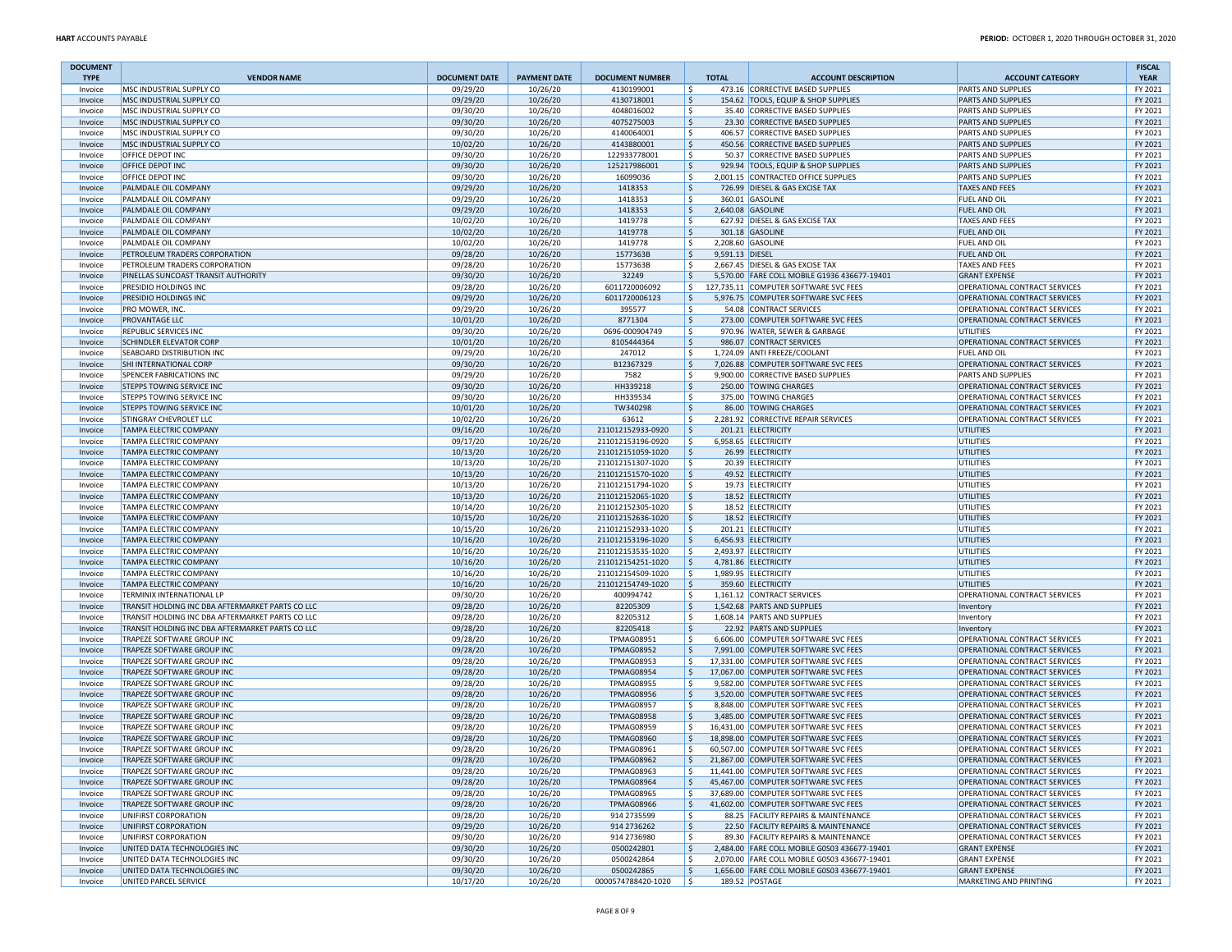| <b>DOCUMENT</b>        |                                                               |                                  |                                 |                                        |               |                 |                                                                              |                                                                       | <b>FISCAL</b>          |
|------------------------|---------------------------------------------------------------|----------------------------------|---------------------------------|----------------------------------------|---------------|-----------------|------------------------------------------------------------------------------|-----------------------------------------------------------------------|------------------------|
| <b>TYPE</b><br>Invoice | <b>VENDOR NAME</b><br>MSC INDUSTRIAL SUPPLY CO                | <b>DOCUMENT DATE</b><br>09/29/20 | <b>PAYMENT DATE</b><br>10/26/20 | <b>DOCUMENT NUMBER</b><br>4130199001   |               | <b>TOTAL</b>    | <b>ACCOUNT DESCRIPTION</b><br>473.16 CORRECTIVE BASED SUPPLIES               | <b>ACCOUNT CATEGORY</b><br>PARTS AND SUPPLIES                         | <b>YEAR</b><br>FY 2021 |
| Invoice                | <b>MSC INDUSTRIAL SUPPLY CO</b>                               | 09/29/20                         | 10/26/20                        | 4130718001                             | l \$<br>Ŝ.    |                 | 154.62 TOOLS. EQUIP & SHOP SUPPLIES                                          | <b>PARTS AND SUPPLIES</b>                                             | FY 2021                |
| Invoice                | MSC INDUSTRIAL SUPPLY CO                                      | 09/30/20                         | 10/26/20                        | 4048016002                             | \$            |                 | 35.40 CORRECTIVE BASED SUPPLIES                                              | <b>PARTS AND SUPPLIES</b>                                             | FY 2021                |
| Invoice                | MSC INDUSTRIAL SUPPLY CO                                      | 09/30/20                         | 10/26/20                        | 4075275003                             | l \$          |                 | 23.30 CORRECTIVE BASED SUPPLIES                                              | <b>PARTS AND SUPPLIES</b>                                             | FY 2021                |
| Invoice                | MSC INDUSTRIAL SUPPLY CO                                      | 09/30/20                         | 10/26/20                        | 4140064001                             | \$            |                 | 406.57 CORRECTIVE BASED SUPPLIES                                             | <b>PARTS AND SUPPLIES</b>                                             | FY 2021                |
| Invoice                | MSC INDUSTRIAL SUPPLY CO                                      | 10/02/20                         | 10/26/20                        | 4143880001                             | l\$           |                 | 450.56 CORRECTIVE BASED SUPPLIES                                             | <b>PARTS AND SUPPLIES</b>                                             | FY 2021                |
| Invoice                | OFFICE DEPOT INC                                              | 09/30/20                         | 10/26/20                        | 122933778001                           | l\$           |                 | 50.37 CORRECTIVE BASED SUPPLIES                                              | PARTS AND SUPPLIES                                                    | FY 2021                |
| Invoice                | OFFICE DEPOT INC                                              | 09/30/20                         | 10/26/20                        | 125217986001                           | l\$           |                 | 929.94 TOOLS, EQUIP & SHOP SUPPLIES                                          | <b>PARTS AND SUPPLIES</b>                                             | FY 2021                |
| Invoice                | OFFICE DEPOT INC                                              | 09/30/20                         | 10/26/20                        | 16099036                               | l \$          |                 | 2,001.15 CONTRACTED OFFICE SUPPLIES                                          | <b>PARTS AND SUPPLIES</b>                                             | FY 2021<br>FY 2021     |
| Invoice<br>Invoice     | PALMDALE OIL COMPANY<br>PALMDALE OIL COMPANY                  | 09/29/20<br>09/29/20             | 10/26/20<br>10/26/20            | 1418353<br>1418353                     | $\zeta$<br>\$ |                 | 726.99 DIESEL & GAS EXCISE TAX<br>360.01 GASOLINE                            | <b>TAXES AND FEES</b><br><b>FUEL AND OIL</b>                          | FY 2021                |
| Invoice                | PALMDALE OIL COMPANY                                          | 09/29/20                         | 10/26/20                        | 1418353                                | ۱\$.          |                 | 2,640.08 GASOLINE                                                            | <b>FUEL AND OIL</b>                                                   | FY 2021                |
| Invoice                | PALMDALE OIL COMPANY                                          | 10/02/20                         | 10/26/20                        | 1419778                                | \$            |                 | 627.92 DIESEL & GAS EXCISE TAX                                               | <b>TAXES AND FEES</b>                                                 | FY 2021                |
| Invoice                | PALMDALE OIL COMPANY                                          | 10/02/20                         | 10/26/20                        | 1419778                                | l\$           |                 | 301.18 GASOLINE                                                              | <b>FUEL AND OIL</b>                                                   | FY 2021                |
| Invoice                | PALMDALE OIL COMPANY                                          | 10/02/20                         | 10/26/20                        | 1419778                                | l \$          |                 | 2,208.60 GASOLINE                                                            | <b>FUEL AND OIL</b>                                                   | FY 2021                |
| Invoice                | PETROLEUM TRADERS CORPORATION                                 | 09/28/20                         | 10/26/20                        | 1577363B                               | S.            | 9,591.13 DIESEL |                                                                              | <b>FUEL AND OIL</b>                                                   | FY 2021                |
| Invoice                | PETROLEUM TRADERS CORPORATION                                 | 09/28/20                         | 10/26/20                        | 1577363B                               | \$.           |                 | 2,667.45 DIESEL & GAS EXCISE TAX                                             | <b>TAXES AND FEES</b>                                                 | FY 2021                |
| Invoice                | PINELLAS SUNCOAST TRANSIT AUTHORITY                           | 09/30/20                         | 10/26/20                        | 32249                                  | \$            |                 | 5,570.00 FARE COLL MOBILE G1936 436677-19401                                 | <b>GRANT EXPENSE</b>                                                  | FY 2021                |
| Invoice<br>Invoice     | PRESIDIO HOLDINGS INC<br>PRESIDIO HOLDINGS INC                | 09/28/20<br>09/29/20             | 10/26/20<br>10/26/20            | 6011720006092<br>6011720006123         | \$<br>l \$    |                 | 127,735.11 COMPUTER SOFTWARE SVC FEES<br>5,976.75 COMPUTER SOFTWARE SVC FEES | OPERATIONAL CONTRACT SERVICES<br>OPERATIONAL CONTRACT SERVICES        | FY 2021<br>FY 2021     |
| Invoice                | PRO MOWER, INC.                                               | 09/29/20                         | 10/26/20                        | 395577                                 | \$            |                 | 54.08 CONTRACT SERVICES                                                      | OPERATIONAL CONTRACT SERVICES                                         | FY 2021                |
| Invoice                | PROVANTAGE LLC                                                | 10/01/20                         | 10/26/20                        | 8771304                                | \$            |                 | 273.00 COMPUTER SOFTWARE SVC FEES                                            | OPERATIONAL CONTRACT SERVICES                                         | FY 2021                |
| Invoice                | REPUBLIC SERVICES INC                                         | 09/30/20                         | 10/26/20                        | 0696-000904749                         | ۱\$.          |                 | 970.96 WATER, SEWER & GARBAGE                                                | UTILITIES                                                             | FY 2021                |
| Invoice                | <b>SCHINDLER ELEVATOR CORP</b>                                | 10/01/20                         | 10/26/20                        | 8105444364                             | $\zeta$       |                 | 986.07 CONTRACT SERVICES                                                     | OPERATIONAL CONTRACT SERVICES                                         | FY 2021                |
| Invoice                | SEABOARD DISTRIBUTION INC                                     | 09/29/20                         | 10/26/20                        | 247012                                 | \$            |                 | 1,724.09 ANTI FREEZE/COOLANT                                                 | <b>FUEL AND OIL</b>                                                   | FY 2021                |
| Invoice                | SHI INTERNATIONAL CORP                                        | 09/30/20                         | 10/26/20                        | B12367329                              | l \$          |                 | 7,026.88 COMPUTER SOFTWARE SVC FEES                                          | OPERATIONAL CONTRACT SERVICES                                         | FY 2021                |
| Invoice                | SPENCER FABRICATIONS INC                                      | 09/29/20                         | 10/26/20                        | 7582                                   | .s            |                 | 9,900.00 CORRECTIVE BASED SUPPLIES                                           | <b>PARTS AND SUPPLIES</b>                                             | FY 2021                |
| Invoice<br>Invoice     | <b>STEPPS TOWING SERVICE INC</b><br>STEPPS TOWING SERVICE INC | 09/30/20<br>09/30/20             | 10/26/20<br>10/26/20            | HH339218<br>HH339534                   | S,<br>l \$    |                 | 250.00 TOWING CHARGES<br>375.00 TOWING CHARGES                               | <b>OPERATIONAL CONTRACT SERVICES</b><br>OPERATIONAL CONTRACT SERVICES | FY 2021<br>FY 2021     |
| Invoice                | STEPPS TOWING SERVICE INC                                     | 10/01/20                         | 10/26/20                        | TW340298                               | $\zeta$       |                 | 86.00 TOWING CHARGES                                                         | <b>OPERATIONAL CONTRACT SERVICES</b>                                  | FY 2021                |
| Invoice                | STINGRAY CHEVROLET LLC                                        | 10/02/20                         | 10/26/20                        | 63612                                  | \$.           |                 | 2,281.92 CORRECTIVE REPAIR SERVICES                                          | OPERATIONAL CONTRACT SERVICES                                         | FY 2021                |
| Invoice                | <b>TAMPA ELECTRIC COMPANY</b>                                 | 09/16/20                         | 10/26/20                        | 211012152933-0920                      | l\$           |                 | 201.21 ELECTRICITY                                                           | <b>UTILITIES</b>                                                      | FY 2021                |
| Invoice                | <b>TAMPA ELECTRIC COMPANY</b>                                 | 09/17/20                         | 10/26/20                        | 211012153196-0920                      | -\$           |                 | 6,958.65 ELECTRICITY                                                         | UTILITIES                                                             | FY 2021                |
| Invoice                | <b>TAMPA ELECTRIC COMPANY</b>                                 | 10/13/20                         | 10/26/20                        | 211012151059-1020                      | \$            |                 | 26.99 ELECTRICITY                                                            | UTILITIES                                                             | FY 2021                |
| Invoice                | TAMPA ELECTRIC COMPANY                                        | 10/13/20                         | 10/26/20                        | 211012151307-1020                      | \$            |                 | 20.39 ELECTRICITY                                                            | UTILITIES                                                             | FY 2021                |
| Invoice                | <b>TAMPA ELECTRIC COMPANY</b>                                 | 10/13/20                         | 10/26/20                        | 211012151570-1020                      | l\$           |                 | 49.52 ELECTRICITY                                                            | UTILITIES                                                             | FY 2021                |
| Invoice                | TAMPA ELECTRIC COMPANY                                        | 10/13/20                         | 10/26/20                        | 211012151794-1020                      | ۱\$.          |                 | 19.73 ELECTRICITY                                                            | UTILITIES                                                             | FY 2021<br>FY 2021     |
| Invoice<br>Invoice     | <b>TAMPA ELECTRIC COMPANY</b><br>TAMPA ELECTRIC COMPANY       | 10/13/20<br>10/14/20             | 10/26/20<br>10/26/20            | 211012152065-1020<br>211012152305-1020 | -\$<br>-\$    |                 | 18.52 ELECTRICITY<br>18.52 ELECTRICITY                                       | <b>UTILITIES</b><br>UTILITIES                                         | FY 2021                |
| Invoice                | <b>TAMPA ELECTRIC COMPANY</b>                                 | 10/15/20                         | 10/26/20                        | 211012152636-1020                      | l \$          |                 | 18.52 ELECTRICITY                                                            | <b>UTILITIES</b>                                                      | FY 2021                |
| Invoice                | TAMPA ELECTRIC COMPANY                                        | 10/15/20                         | 10/26/20                        | 211012152933-1020                      | -Ś            |                 | 201.21 ELECTRICITY                                                           | UTILITIES                                                             | FY 2021                |
| Invoice                | <b>TAMPA ELECTRIC COMPANY</b>                                 | 10/16/20                         | 10/26/20                        | 211012153196-1020                      | \$            |                 | 6,456.93 ELECTRICITY                                                         | UTILITIES                                                             | FY 2021                |
| Invoice                | <b>TAMPA ELECTRIC COMPANY</b>                                 | 10/16/20                         | 10/26/20                        | 211012153535-1020                      | \$            |                 | 2,493.97 ELECTRICITY                                                         | UTILITIES                                                             | FY 2021                |
| Invoice                | <b>TAMPA ELECTRIC COMPANY</b>                                 | 10/16/20                         | 10/26/20                        | 211012154251-1020                      | S.            |                 | 4,781.86 ELECTRICITY                                                         | UTILITIES                                                             | FY 2021                |
| Invoice                | TAMPA ELECTRIC COMPANY                                        | 10/16/20                         | 10/26/20                        | 211012154509-1020                      | -\$           |                 | 1,989.95 ELECTRICITY                                                         | UTILITIES                                                             | FY 2021                |
| Invoice<br>Invoice     | TAMPA ELECTRIC COMPANY<br>TERMINIX INTERNATIONAL LP           | 10/16/20<br>09/30/20             | 10/26/20                        | 211012154749-1020<br>400994742         | l\$           |                 | 359.60 ELECTRICITY<br>1,161.12 CONTRACT SERVICES                             | UTILITIES<br>OPERATIONAL CONTRACT SERVICES                            | FY 2021<br>FY 2021     |
| Invoice                | TRANSIT HOLDING INC DBA AFTERMARKET PARTS CO LLC              | 09/28/20                         | 10/26/20<br>10/26/20            | 82205309                               | \$.<br>۱\$.   |                 | 1,542.68 PARTS AND SUPPLIES                                                  | Inventory                                                             | FY 2021                |
| Invoice                | TRANSIT HOLDING INC DBA AFTERMARKET PARTS CO LLC              | 09/28/20                         | 10/26/20                        | 82205312                               | \$            |                 | 1,608.14 PARTS AND SUPPLIES                                                  | Inventory                                                             | FY 2021                |
| Invoice                | TRANSIT HOLDING INC DBA AFTERMARKET PARTS CO LLC              | 09/28/20                         | 10/26/20                        | 82205418                               | $\zeta$       |                 | 22.92 PARTS AND SUPPLIES                                                     | Inventory                                                             | FY 2021                |
| Invoice                | TRAPEZE SOFTWARE GROUP INC                                    | 09/28/20                         | 10/26/20                        | <b>TPMAG08951</b>                      | l\$           |                 | 6,606.00 COMPUTER SOFTWARE SVC FEES                                          | OPERATIONAL CONTRACT SERVICES                                         | FY 2021                |
| Invoice                | TRAPEZE SOFTWARE GROUP INC                                    | 09/28/20                         | 10/26/20                        | <b>TPMAG08952</b>                      | S.            |                 | 7,991.00 COMPUTER SOFTWARE SVC FEES                                          | OPERATIONAL CONTRACT SERVICES                                         | FY 2021                |
| Invoice                | TRAPEZE SOFTWARE GROUP INC                                    | 09/28/20                         | 10/26/20                        | <b>TPMAG08953</b>                      | \$            |                 | 17.331.00 COMPUTER SOFTWARE SVC FEES                                         | <b>OPERATIONAL CONTRACT SERVICES</b>                                  | FY 2021                |
| Invoice                | <b>TRAPEZE SOFTWARE GROUP INC</b>                             | 09/28/20                         | 10/26/20                        | <b>TPMAG08954</b>                      | l \$          |                 | 17.067.00 COMPUTER SOFTWARE SVC FEES                                         | OPERATIONAL CONTRACT SERVICES                                         | FY 2021                |
| Invoice<br>Invoice     | TRAPEZE SOFTWARE GROUP INC<br>TRAPEZE SOFTWARE GROUP INC      | 09/28/20<br>09/28/20             | 10/26/20<br>10/26/20            | <b>TPMAG08955</b><br><b>TPMAG08956</b> | Ŝ.<br>\$      |                 | 9,582.00 COMPUTER SOFTWARE SVC FEES<br>3,520.00 COMPUTER SOFTWARE SVC FEES   | OPERATIONAL CONTRACT SERVICES<br>OPERATIONAL CONTRACT SERVICES        | FY 2021<br>FY 2021     |
| Invoice                | <b>TRAPEZE SOFTWARE GROUP INC</b>                             | 09/28/20                         | 10/26/20                        | <b>TPMAG08957</b>                      | \$            |                 | 8,848.00 COMPUTER SOFTWARE SVC FEES                                          | <b>OPERATIONAL CONTRACT SERVICES</b>                                  | FY 2021                |
| Invoice                | <b>TRAPEZE SOFTWARE GROUP INC</b>                             | 09/28/20                         | 10/26/20                        | <b>TPMAG08958</b>                      | $\mathsf{S}$  |                 | 3,485.00 COMPUTER SOFTWARE SVC FEES                                          | OPERATIONAL CONTRACT SERVICES                                         | FY 2021                |
| Invoice                | TRAPEZE SOFTWARE GROUP INC                                    | 09/28/20                         | 10/26/20                        | <b>TPMAG08959</b>                      | s.            |                 | 16,431.00 COMPUTER SOFTWARE SVC FEES                                         | OPERATIONAL CONTRACT SERVICES                                         | FY 2021                |
| Invoice                | <b>TRAPEZE SOFTWARE GROUP INC</b>                             | 09/28/20                         | 10/26/20                        | <b>TPMAG08960</b>                      | S.            |                 | 18,898.00 COMPUTER SOFTWARE SVC FEES                                         | OPERATIONAL CONTRACT SERVICES                                         | FY 2021                |
| Invoice                | TRAPEZE SOFTWARE GROUP INC                                    | 09/28/20                         | 10/26/20                        | <b>TPMAG08961</b>                      | \$.           |                 | 60.507.00 COMPUTER SOFTWARE SVC FEES                                         | OPERATIONAL CONTRACT SERVICES                                         | FY 2021                |
| Invoice                | TRAPEZE SOFTWARE GROUP INC                                    | 09/28/20                         | 10/26/20                        | TPMAG08962                             | -S            |                 | 21,867.00 COMPUTER SOFTWARE SVC FEES                                         | OPERATIONAL CONTRACT SERVICES                                         | FY 2021                |
| Invoice                | TRAPEZE SOFTWARE GROUP INC                                    | 09/28/20                         | 10/26/20                        | <b>TPMAG08963</b>                      | \$            |                 | 11,441.00 COMPUTER SOFTWARE SVC FEES                                         | OPERATIONAL CONTRACT SERVICES                                         | FY 2021                |
| Invoice                | TRAPEZE SOFTWARE GROUP INC<br>TRAPEZE SOFTWARE GROUP INC      | 09/28/20<br>09/28/20             | 10/26/20<br>10/26/20            | <b>TPMAG08964</b><br><b>TPMAG08965</b> | l\$<br>l \$   |                 | 45,467.00 COMPUTER SOFTWARE SVC FEES<br>37.689.00 COMPUTER SOFTWARE SVC FEES | OPERATIONAL CONTRACT SERVICES<br>OPERATIONAL CONTRACT SERVICES        | FY 2021<br>FY 2021     |
| Invoice<br>Invoice     | TRAPEZE SOFTWARE GROUP INC                                    | 09/28/20                         | 10/26/20                        | <b>TPMAG08966</b>                      | \$            |                 | 41,602.00 COMPUTER SOFTWARE SVC FEES                                         | OPERATIONAL CONTRACT SERVICES                                         | FY 2021                |
| Invoice                | UNIFIRST CORPORATION                                          | 09/28/20                         | 10/26/20                        | 914 2735599                            | \$            |                 | 88.25 FACILITY REPAIRS & MAINTENANCE                                         | OPERATIONAL CONTRACT SERVICES                                         | FY 2021                |
| Invoice                | UNIFIRST CORPORATION                                          | 09/29/20                         | 10/26/20                        | 914 2736262                            | ∣\$           |                 | 22.50 FACILITY REPAIRS & MAINTENANCE                                         | OPERATIONAL CONTRACT SERVICES                                         | FY 2021                |
| Invoice                | UNIFIRST CORPORATION                                          | 09/30/20                         | 10/26/20                        | 914 2736980                            | \$.           |                 | 89.30 FACILITY REPAIRS & MAINTENANCE                                         | OPERATIONAL CONTRACT SERVICES                                         | FY 2021                |
| Invoice                | UNITED DATA TECHNOLOGIES INC                                  | 09/30/20                         | 10/26/20                        | 0500242801                             | l\$           |                 | 2,484.00 FARE COLL MOBILE G0S03 436677-19401                                 | <b>GRANT EXPENSE</b>                                                  | FY 2021                |
| Invoice                | UNITED DATA TECHNOLOGIES INC                                  | 09/30/20                         | 10/26/20                        | 0500242864                             | \$            |                 | 2,070.00 FARE COLL MOBILE G0S03 436677-19401                                 | <b>GRANT EXPENSE</b>                                                  | FY 2021                |
| Invoice                | UNITED DATA TECHNOLOGIES INC                                  | 09/30/20                         | 10/26/20                        | 0500242865                             | I\$           |                 | 1,656.00 FARE COLL MOBILE G0S03 436677-19401                                 | <b>GRANT EXPENSE</b>                                                  | FY 2021                |
| Invoice                | UNITED PARCEL SERVICE                                         | 10/17/20                         | 10/26/20                        | 0000574788420-1020                     | I\$           |                 | 189.52 POSTAGE                                                               | MARKETING AND PRINTING                                                | FY 2021                |